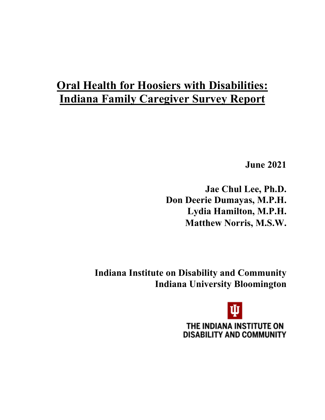# **Oral Health for Hoosiers with Disabilities: Indiana Family Caregiver Survey Report**

**June 2021** 

**Jae Chul Lee, Ph.D. Don Deerie Dumayas, M.P.H. Lydia Hamilton, M.P.H. Matthew Norris, M.S.W.**

**Indiana Institute on Disability and Community Indiana University Bloomington**

> THE INDIANA INSTITUTE ON **DISABILITY AND COMMUNITY**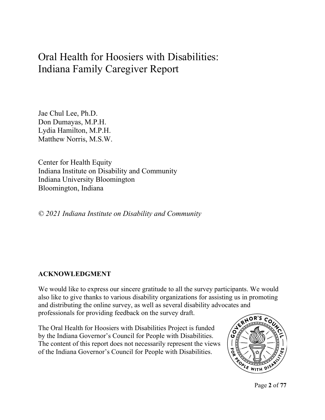## Oral Health for Hoosiers with Disabilities: Indiana Family Caregiver Report

Jae Chul Lee, Ph.D. Don Dumayas, M.P.H. Lydia Hamilton, M.P.H. Matthew Norris, M.S.W.

Center for Health Equity Indiana Institute on Disability and Community Indiana University Bloomington Bloomington, Indiana

*© 2021 Indiana Institute on Disability and Community*

## **ACKNOWLEDGMENT**

We would like to express our sincere gratitude to all the survey participants. We would also like to give thanks to various disability organizations for assisting us in promoting and distributing the online survey, as well as several disability advocates and professionals for providing feedback on the survey draft.

The Oral Health for Hoosiers with Disabilities Project is funded by the Indiana Governor's Council for People with Disabilities. The content of this report does not necessarily represent the views of the Indiana Governor's Council for People with Disabilities.



Page **2** of **77**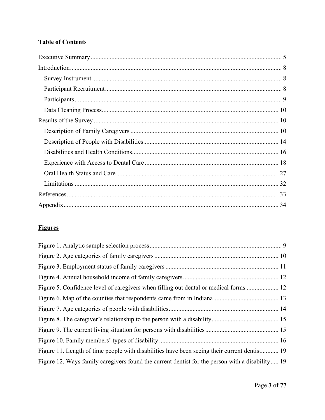## **Table of Contents**

## **Figures**

| Figure 5. Confidence level of caregivers when filling out dental or medical forms  12           |  |
|-------------------------------------------------------------------------------------------------|--|
|                                                                                                 |  |
|                                                                                                 |  |
|                                                                                                 |  |
|                                                                                                 |  |
|                                                                                                 |  |
| Figure 11. Length of time people with disabilities have been seeing their current dentist 19    |  |
| Figure 12. Ways family caregivers found the current dentist for the person with a disability 19 |  |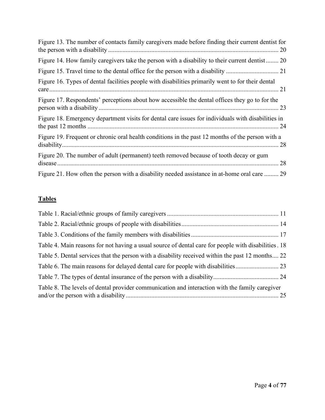| Figure 13. The number of contacts family caregivers made before finding their current dentist for  |
|----------------------------------------------------------------------------------------------------|
| Figure 14. How family caregivers take the person with a disability to their current dentist 20     |
|                                                                                                    |
| Figure 16. Types of dental facilities people with disabilities primarily went to for their dental  |
| Figure 17. Respondents' perceptions about how accessible the dental offices they go to for the     |
| Figure 18. Emergency department visits for dental care issues for individuals with disabilities in |
| Figure 19. Frequent or chronic oral health conditions in the past 12 months of the person with a   |
| Figure 20. The number of adult (permanent) teeth removed because of tooth decay or gum             |
| Figure 21. How often the person with a disability needed assistance in at-home oral care  29       |

## **Tables**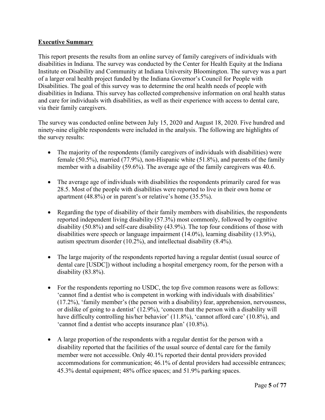#### <span id="page-4-0"></span>**Executive Summary**

This report presents the results from an online survey of family caregivers of individuals with disabilities in Indiana. The survey was conducted by the Center for Health Equity at the Indiana Institute on Disability and Community at Indiana University Bloomington. The survey was a part of a larger oral health project funded by the Indiana Governor's Council for People with Disabilities. The goal of this survey was to determine the oral health needs of people with disabilities in Indiana. This survey has collected comprehensive information on oral health status and care for individuals with disabilities, as well as their experience with access to dental care, via their family caregivers.

The survey was conducted online between July 15, 2020 and August 18, 2020. Five hundred and ninety-nine eligible respondents were included in the analysis. The following are highlights of the survey results:

- The majority of the respondents (family caregivers of individuals with disabilities) were female (50.5%), married (77.9%), non-Hispanic white (51.8%), and parents of the family member with a disability (59.6%). The average age of the family caregivers was 40.6.
- The average age of individuals with disabilities the respondents primarily cared for was 28.5. Most of the people with disabilities were reported to live in their own home or apartment (48.8%) or in parent's or relative's home (35.5%).
- Regarding the type of disability of their family members with disabilities, the respondents reported independent living disability (57.3%) most commonly, followed by cognitive disability (50.8%) and self-care disability (43.9%). The top four conditions of those with disabilities were speech or language impairment (14.0%), learning disability (13.9%), autism spectrum disorder (10.2%), and intellectual disability (8.4%).
- The large majority of the respondents reported having a regular dentist (usual source of dental care [USDC]) without including a hospital emergency room, for the person with a disability (83.8%).
- For the respondents reporting no USDC, the top five common reasons were as follows: 'cannot find a dentist who is competent in working with individuals with disabilities' (17.2%), 'family member's (the person with a disability) fear, apprehension, nervousness, or dislike of going to a dentist' (12.9%), 'concern that the person with a disability will have difficulty controlling his/her behavior' (11.8%), 'cannot afford care' (10.8%), and 'cannot find a dentist who accepts insurance plan' (10.8%).
- A large proportion of the respondents with a regular dentist for the person with a disability reported that the facilities of the usual source of dental care for the family member were not accessible. Only 40.1% reported their dental providers provided accommodations for communication; 46.1% of dental providers had accessible entrances; 45.3% dental equipment; 48% office spaces; and 51.9% parking spaces.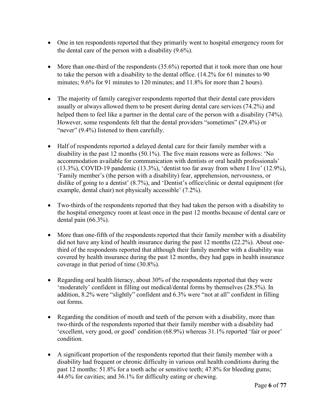- One in ten respondents reported that they primarily went to hospital emergency room for the dental care of the person with a disability (9.6%).
- More than one-third of the respondents (35.6%) reported that it took more than one hour to take the person with a disability to the dental office. (14.2% for 61 minutes to 90 minutes; 9.6% for 91 minutes to 120 minutes; and 11.8% for more than 2 hours).
- The majority of family caregiver respondents reported that their dental care providers usually or always allowed them to be present during dental care services (74.2%) and helped them to feel like a partner in the dental care of the person with a disability (74%). However, some respondents felt that the dental providers "sometimes" (29.4%) or "never" (9.4%) listened to them carefully.
- Half of respondents reported a delayed dental care for their family member with a disability in the past 12 months (50.1%). The five main reasons were as follows: 'No accommodation available for communication with dentists or oral health professionals' (13.3%), COVID-19 pandemic (13.3%), 'dentist too far away from where I live' (12.9%), 'Family member's (the person with a disability) fear, apprehension, nervousness, or dislike of going to a dentist' (8.7%), and 'Dentist's office/clinic or dental equipment (for example, dental chair) not physically accessible' (7.2%).
- Two-thirds of the respondents reported that they had taken the person with a disability to the hospital emergency room at least once in the past 12 months because of dental care or dental pain (66.3%).
- More than one-fifth of the respondents reported that their family member with a disability did not have any kind of health insurance during the past 12 months (22.2%). About onethird of the respondents reported that although their family member with a disability was covered by health insurance during the past 12 months, they had gaps in health insurance coverage in that period of time (30.8%).
- Regarding oral health literacy, about 30% of the respondents reported that they were 'moderately' confident in filling out medical/dental forms by themselves (28.5%). In addition, 8.2% were "slightly" confident and 6.3% were "not at all" confident in filling out forms.
- Regarding the condition of mouth and teeth of the person with a disability, more than two-thirds of the respondents reported that their family member with a disability had 'excellent, very good, or good' condition (68.9%) whereas 31.1% reported 'fair or poor' condition.
- A significant proportion of the respondents reported that their family member with a disability had frequent or chronic difficulty in various oral health conditions during the past 12 months: 51.8% for a tooth ache or sensitive teeth; 47.8% for bleeding gums; 44.6% for cavities; and 36.1% for difficulty eating or chewing.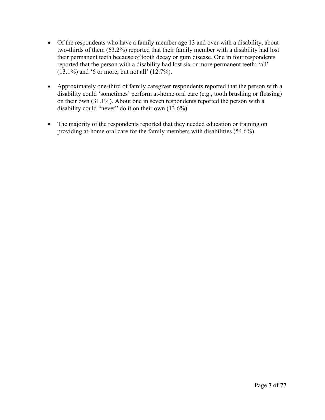- Of the respondents who have a family member age 13 and over with a disability, about two-thirds of them (63.2%) reported that their family member with a disability had lost their permanent teeth because of tooth decay or gum disease. One in four respondents reported that the person with a disability had lost six or more permanent teeth: 'all' (13.1%) and '6 or more, but not all' (12.7%).
- Approximately one-third of family caregiver respondents reported that the person with a disability could 'sometimes' perform at-home oral care (e.g., tooth brushing or flossing) on their own (31.1%). About one in seven respondents reported the person with a disability could "never" do it on their own (13.6%).
- The majority of the respondents reported that they needed education or training on providing at-home oral care for the family members with disabilities (54.6%).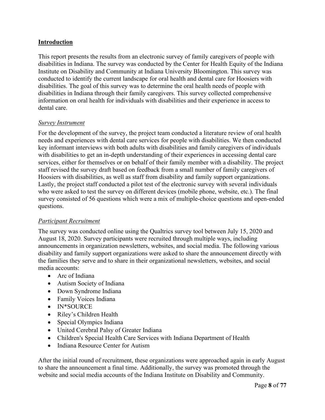#### <span id="page-7-0"></span>**Introduction**

This report presents the results from an electronic survey of family caregivers of people with disabilities in Indiana. The survey was conducted by the Center for Health Equity of the Indiana Institute on Disability and Community at Indiana University Bloomington. This survey was conducted to identify the current landscape for oral health and dental care for Hoosiers with disabilities. The goal of this survey was to determine the oral health needs of people with disabilities in Indiana through their family caregivers. This survey collected comprehensive information on oral health for individuals with disabilities and their experience in access to dental care.

#### <span id="page-7-1"></span>*Survey Instrument*

For the development of the survey, the project team conducted a literature review of oral health needs and experiences with dental care services for people with disabilities. We then conducted key informant interviews with both adults with disabilities and family caregivers of individuals with disabilities to get an in-depth understanding of their experiences in accessing dental care services, either for themselves or on behalf of their family member with a disability. The project staff revised the survey draft based on feedback from a small number of family caregivers of Hoosiers with disabilities, as well as staff from disability and family support organizations. Lastly, the project staff conducted a pilot test of the electronic survey with several individuals who were asked to test the survey on different devices (mobile phone, website, etc.). The final survey consisted of 56 questions which were a mix of multiple-choice questions and open-ended questions.

#### <span id="page-7-2"></span>*Participant Recruitment*

The survey was conducted online using the Qualtrics survey tool between July 15, 2020 and August 18, 2020. Survey participants were recruited through multiple ways, including announcements in organization newsletters, websites, and social media. The following various disability and family support organizations were asked to share the announcement directly with the families they serve and to share in their organizational newsletters, websites, and social media accounts:

- Arc of Indiana
- Autism Society of Indiana
- Down Syndrome Indiana
- Family Voices Indiana
- IN\*SOURCE
- Riley's Children Health
- Special Olympics Indiana
- United Cerebral Palsy of Greater Indiana
- Children's Special Health Care Services with Indiana Department of Health
- Indiana Resource Center for Autism

After the initial round of recruitment, these organizations were approached again in early August to share the announcement a final time. Additionally, the survey was promoted through the website and social media accounts of the Indiana Institute on Disability and Community.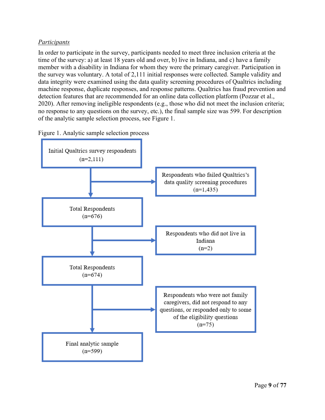#### <span id="page-8-1"></span><span id="page-8-0"></span>*Participants*

In order to participate in the survey, participants needed to meet three inclusion criteria at the time of the survey: a) at least 18 years old and over, b) live in Indiana, and c) have a family member with a disability in Indiana for whom they were the primary caregiver. Participation in the survey was voluntary. A total of 2,111 initial responses were collected. Sample validity and data integrity were examined using the data quality screening procedures of Qualtrics including machine response, duplicate responses, and response patterns. Qualtrics has fraud prevention and detection features that are recommended for an online data collection platform (Pozzar et al., 2020). After removing ineligible respondents (e.g., those who did not meet the inclusion criteria; no response to any questions on the survey, etc.), the final sample size was 599. For description of the analytic sample selection process, see Figure 1.



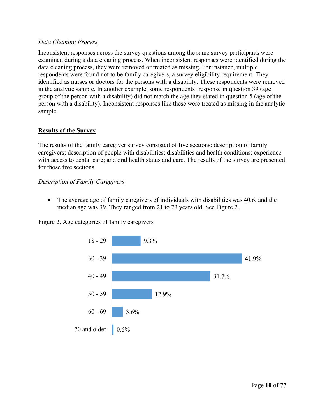#### <span id="page-9-3"></span><span id="page-9-0"></span>*Data Cleaning Process*

Inconsistent responses across the survey questions among the same survey participants were examined during a data cleaning process. When inconsistent responses were identified during the data cleaning process, they were removed or treated as missing. For instance, multiple respondents were found not to be family caregivers, a survey eligibility requirement. They identified as nurses or doctors for the persons with a disability. These respondents were removed in the analytic sample. In another example, some respondents' response in question 39 (age group of the person with a disability) did not match the age they stated in question 5 (age of the person with a disability). Inconsistent responses like these were treated as missing in the analytic sample.

#### <span id="page-9-1"></span>**Results of the Survey**

The results of the family caregiver survey consisted of five sections: description of family caregivers; description of people with disabilities; disabilities and health conditions; experience with access to dental care; and oral health status and care. The results of the survey are presented for those five sections.

#### <span id="page-9-2"></span>*Description of Family Caregivers*

• The average age of family caregivers of individuals with disabilities was 40.6, and the median age was 39. They ranged from 21 to 73 years old. See Figure 2.



Figure 2. Age categories of family caregivers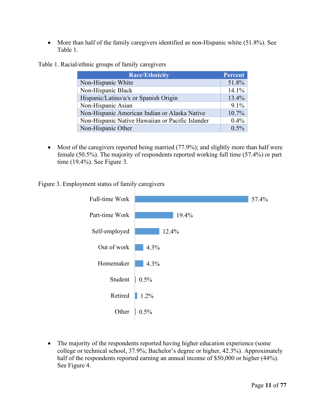<span id="page-10-0"></span>• More than half of the family caregivers identified as non-Hispanic white (51.8%). See Table 1.

|  |  |  | Table 1. Racial/ethnic groups of family caregivers |
|--|--|--|----------------------------------------------------|
|  |  |  |                                                    |

| <b>Race/Ethnicity</b>                            | Percent |
|--------------------------------------------------|---------|
| Non-Hispanic White                               | 51.8%   |
| Non-Hispanic Black                               | 14.1%   |
| Hispanic/Latino/a/x or Spanish Origin            | 13.4%   |
| Non-Hispanic Asian                               | 9.1%    |
| Non-Hispanic American Indian or Alaska Native    | 10.7%   |
| Non-Hispanic Native Hawaiian or Pacific Islander | 0.4%    |
| Non-Hispanic Other                               | 0.5%    |

• Most of the caregivers reported being married (77.9%); and slightly more than half were female (50.5%). The majority of respondents reported working full time (57.4%) or part time (19.4%). See Figure 3.

Figure 3. Employment status of family caregivers



• The majority of the respondents reported having higher education experience (some college or technical school, 37.9%; Bachelor's degree or higher, 42.3%). Approximately half of the respondents reported earning an annual income of \$50,000 or higher (44%). See Figure 4.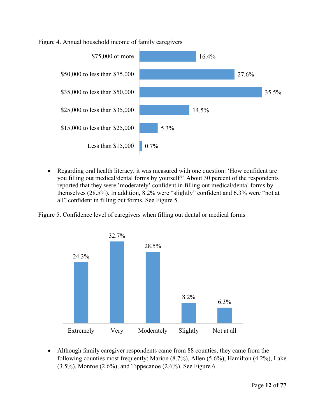#### <span id="page-11-0"></span>Figure 4. Annual household income of family caregivers



• Regarding oral health literacy, it was measured with one question: 'How confident are you filling out medical/dental forms by yourself?' About 30 percent of the respondents reported that they were 'moderately' confident in filling out medical/dental forms by themselves (28.5%). In addition, 8.2% were "slightly" confident and 6.3% were "not at all" confident in filling out forms. See Figure 5.

Figure 5. Confidence level of caregivers when filling out dental or medical forms



• Although family caregiver respondents came from 88 counties, they came from the following counties most frequently: Marion (8.7%), Allen (5.6%), Hamilton (4.2%), Lake  $(3.5\%)$ , Monroe  $(2.6\%)$ , and Tippecanoe  $(2.6\%)$ . See Figure 6.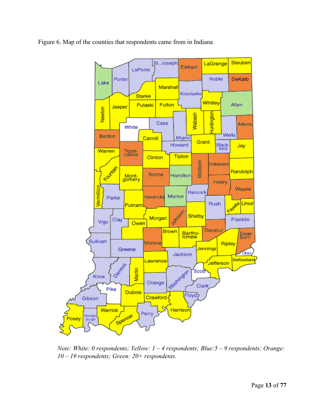<span id="page-12-0"></span>



*Note: White: 0 respondents; Yellow: 1 – 4 respondents; Blue:5 – 9 respondents; Orange: 10 – 19 respondents; Green: 20+ respondents.*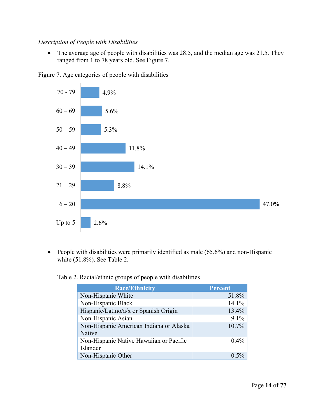#### <span id="page-13-1"></span><span id="page-13-0"></span>*Description of People with Disabilities*

• The average age of people with disabilities was 28.5, and the median age was 21.5. They ranged from 1 to 78 years old. See Figure 7.





• People with disabilities were primarily identified as male (65.6%) and non-Hispanic white (51.8%). See Table 2.

<span id="page-13-2"></span>Table 2. Racial/ethnic groups of people with disabilities

| <b>Race/Ethnicity</b>                             | <b>Percent</b> |
|---------------------------------------------------|----------------|
| Non-Hispanic White                                | 51.8%          |
| Non-Hispanic Black                                | 14.1%          |
| Hispanic/Latino/a/x or Spanish Origin             | 13.4%          |
| Non-Hispanic Asian                                | 9.1%           |
| Non-Hispanic American Indiana or Alaska<br>Native | 10.7%          |
| Non-Hispanic Native Hawaiian or Pacific           | $0.4\%$        |
| Islander                                          |                |
| Non-Hispanic Other                                | $0.5\%$        |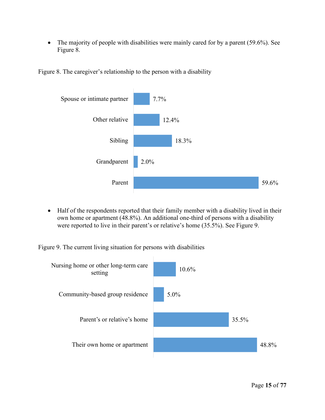<span id="page-14-0"></span>• The majority of people with disabilities were mainly cared for by a parent (59.6%). See Figure 8.





• Half of the respondents reported that their family member with a disability lived in their own home or apartment (48.8%). An additional one-third of persons with a disability were reported to live in their parent's or relative's home (35.5%). See Figure 9.

Figure 9. The current living situation for persons with disabilities

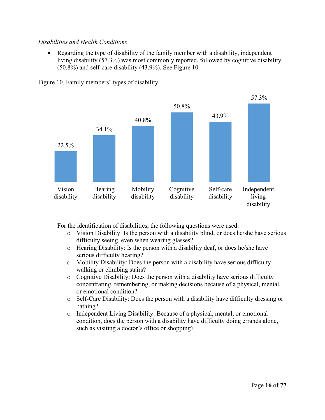#### <span id="page-15-1"></span><span id="page-15-0"></span>*Disabilities and Health Conditions*

• Regarding the type of disability of the family member with a disability, independent living disability (57.3%) was most commonly reported, followed by cognitive disability (50.8%) and self-care disability (43.9%). See Figure 10.



Figure 10. Family members' types of disability

For the identification of disabilities, the following questions were used:

- o Vision Disability: Is the person with a disability blind, or does he/she have serious difficulty seeing, even when wearing glasses?
- o Hearing Disability: Is the person with a disability deaf, or does he/she have serious difficulty hearing?
- o Mobility Disability: Does the person with a disability have serious difficulty walking or climbing stairs?
- o Cognitive Disability: Does the person with a disability have serious difficulty concentrating, remembering, or making decisions because of a physical, mental, or emotional condition?
- o Self-Care Disability: Does the person with a disability have difficulty dressing or bathing?
- o Independent Living Disability: Because of a physical, mental, or emotional condition, does the person with a disability have difficulty doing errands alone, such as visiting a doctor's office or shopping?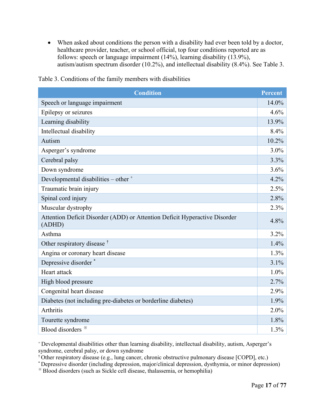<span id="page-16-0"></span>• When asked about conditions the person with a disability had ever been told by a doctor, healthcare provider, teacher, or school official, top four conditions reported are as follows: speech or language impairment (14%), learning disability (13.9%), autism/autism spectrum disorder (10.2%), and intellectual disability (8.4%). See Table 3.

| <b>Condition</b>                                                                     | <b>Percent</b> |
|--------------------------------------------------------------------------------------|----------------|
| Speech or language impairment                                                        | 14.0%          |
| Epilepsy or seizures                                                                 | 4.6%           |
| Learning disability                                                                  | 13.9%          |
| Intellectual disability                                                              | 8.4%           |
| Autism                                                                               | 10.2%          |
| Asperger's syndrome                                                                  | 3.0%           |
| Cerebral palsy                                                                       | 3.3%           |
| Down syndrome                                                                        | 3.6%           |
| Developmental disabilities - other +                                                 | 4.2%           |
| Traumatic brain injury                                                               | 2.5%           |
| Spinal cord injury                                                                   | 2.8%           |
| Muscular dystrophy                                                                   | 2.3%           |
| Attention Deficit Disorder (ADD) or Attention Deficit Hyperactive Disorder<br>(ADHD) | 4.8%           |
| Asthma                                                                               | 3.2%           |
| Other respiratory disease <sup>†</sup>                                               | 1.4%           |
| Angina or coronary heart disease                                                     | 1.3%           |
| Depressive disorder*                                                                 | 3.1%           |
| Heart attack                                                                         | 1.0%           |
| High blood pressure                                                                  | 2.7%           |
| Congenital heart disease                                                             | 2.9%           |
| Diabetes (not including pre-diabetes or borderline diabetes)                         | 1.9%           |
| Arthritis                                                                            | 2.0%           |
| Tourette syndrome                                                                    | 1.8%           |
| Blood disorders *                                                                    | 1.3%           |

Table 3. Conditions of the family members with disabilities

+ Developmental disabilities other than learning disability, intellectual disability, autism, Asperger's syndrome, cerebral palsy, or down syndrome

† Other respiratory disease (e.g., lung cancer, chronic obstructive pulmonary disease [COPD], etc.)

\* Depressive disorder (including depression, major/clinical depression, dysthymia, or minor depression)

※ Blood disorders (such as Sickle cell disease, thalassemia, or hemophilia)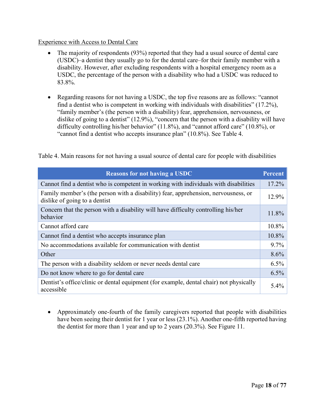#### <span id="page-17-1"></span><span id="page-17-0"></span>Experience with Access to Dental Care

- The majority of respondents (93%) reported that they had a usual source of dental care (USDC)–a dentist they usually go to for the dental care–for their family member with a disability. However, after excluding respondents with a hospital emergency room as a USDC, the percentage of the person with a disability who had a USDC was reduced to 83.8%.
- Regarding reasons for not having a USDC, the top five reasons are as follows: "cannot find a dentist who is competent in working with individuals with disabilities" (17.2%), "family member's (the person with a disability) fear, apprehension, nervousness, or dislike of going to a dentist" (12.9%), "concern that the person with a disability will have difficulty controlling his/her behavior" (11.8%), and "cannot afford care" (10.8%), or "cannot find a dentist who accepts insurance plan" (10.8%). See Table 4.

| <b>Reasons for not having a USDC</b>                                                                                | <b>Percent</b> |
|---------------------------------------------------------------------------------------------------------------------|----------------|
| Cannot find a dentist who is competent in working with individuals with disabilities                                | 17.2%          |
| Family member's (the person with a disability) fear, apprehension, nervousness, or<br>dislike of going to a dentist | 12.9%          |
| Concern that the person with a disability will have difficulty controlling his/her<br>behavior                      | 11.8%          |
| Cannot afford care                                                                                                  | 10.8%          |
| Cannot find a dentist who accepts insurance plan                                                                    | 10.8%          |
| No accommodations available for communication with dentist                                                          | $9.7\%$        |
| Other                                                                                                               | 8.6%           |
| The person with a disability seldom or never needs dental care                                                      | 6.5%           |
| Do not know where to go for dental care                                                                             | 6.5%           |
| Dentist's office/clinic or dental equipment (for example, dental chair) not physically<br>accessible                | 5.4%           |

Table 4. Main reasons for not having a usual source of dental care for people with disabilities

• Approximately one-fourth of the family caregivers reported that people with disabilities have been seeing their dentist for 1 year or less (23.1%). Another one-fifth reported having the dentist for more than 1 year and up to 2 years (20.3%). See Figure 11.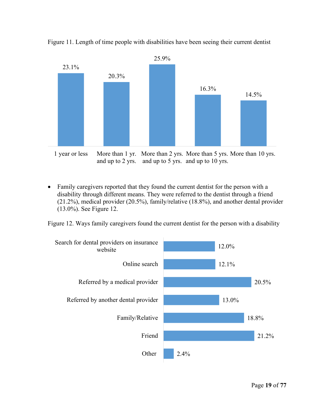

<span id="page-18-0"></span>Figure 11. Length of time people with disabilities have been seeing their current dentist

1 year or less More than 1 yr. More than 2 yrs. More than 5 yrs. More than 10 yrs. and up to 2 yrs. and up to 5 yrs. and up to 10 yrs.

• Family caregivers reported that they found the current dentist for the person with a disability through different means. They were referred to the dentist through a friend (21.2%), medical provider (20.5%), family/relative (18.8%), and another dental provider (13.0%). See Figure 12.

Figure 12. Ways family caregivers found the current dentist for the person with a disability

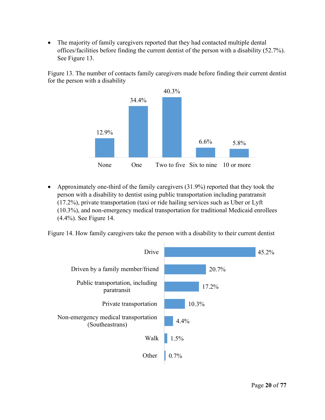<span id="page-19-0"></span>The majority of family caregivers reported that they had contacted multiple dental offices/facilities before finding the current dentist of the person with a disability (52.7%). See Figure 13.

Figure 13. The number of contacts family caregivers made before finding their current dentist for the person with a disability



• Approximately one-third of the family caregivers (31.9%) reported that they took the person with a disability to dentist using public transportation including paratransit (17.2%), private transportation (taxi or ride hailing services such as Uber or Lyft (10.3%), and non-emergency medical transportation for traditional Medicaid enrollees (4.4%). See Figure 14.

Figure 14. How family caregivers take the person with a disability to their current dentist

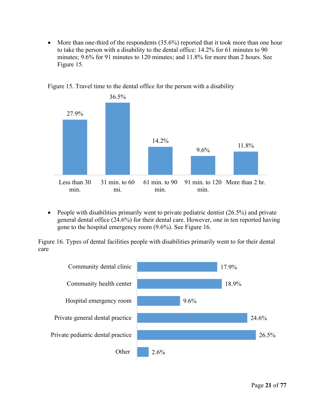<span id="page-20-0"></span>• More than one-third of the respondents (35.6%) reported that it took more than one hour to take the person with a disability to the dental office: 14.2% for 61 minutes to 90 minutes; 9.6% for 91 minutes to 120 minutes; and 11.8% for more than 2 hours. See Figure 15.



Figure 15. Travel time to the dental office for the person with a disability

• People with disabilities primarily went to private pediatric dentist  $(26.5\%)$  and private general dental office (24.6%) for their dental care. However, one in ten reported having gone to the hospital emergency room (9.6%). See Figure 16.

Figure 16. Types of dental facilities people with disabilities primarily went to for their dental care

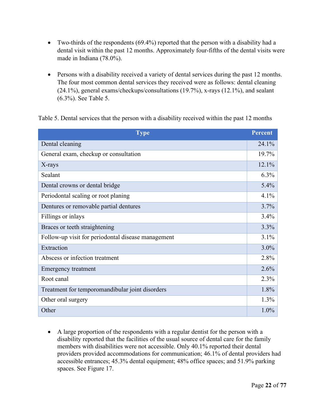- <span id="page-21-0"></span>• Two-thirds of the respondents (69.4%) reported that the person with a disability had a dental visit within the past 12 months. Approximately four-fifths of the dental visits were made in Indiana (78.0%).
- Persons with a disability received a variety of dental services during the past 12 months. The four most common dental services they received were as follows: dental cleaning (24.1%), general exams/checkups/consultations (19.7%), x-rays (12.1%), and sealant (6.3%). See Table 5.

Table 5. Dental services that the person with a disability received within the past 12 months

| <b>Type</b>                                        | <b>Percent</b> |
|----------------------------------------------------|----------------|
| Dental cleaning                                    | $24.1\%$       |
| General exam, checkup or consultation              | 19.7%          |
| X-rays                                             | 12.1%          |
| Sealant                                            | $6.3\%$        |
| Dental crowns or dental bridge                     | 5.4%           |
| Periodontal scaling or root planing                | 4.1%           |
| Dentures or removable partial dentures             | 3.7%           |
| Fillings or inlays                                 | 3.4%           |
| Braces or teeth straightening                      | 3.3%           |
| Follow-up visit for periodontal disease management | 3.1%           |
| Extraction                                         | 3.0%           |
| Abscess or infection treatment                     | 2.8%           |
| <b>Emergency treatment</b>                         | 2.6%           |
| Root canal                                         | 2.3%           |
| Treatment for temporomandibular joint disorders    | 1.8%           |
| Other oral surgery                                 | $1.3\%$        |
| Other                                              | 1.0%           |

• A large proportion of the respondents with a regular dentist for the person with a disability reported that the facilities of the usual source of dental care for the family members with disabilities were not accessible. Only 40.1% reported their dental providers provided accommodations for communication; 46.1% of dental providers had accessible entrances; 45.3% dental equipment; 48% office spaces; and 51.9% parking spaces. See Figure 17.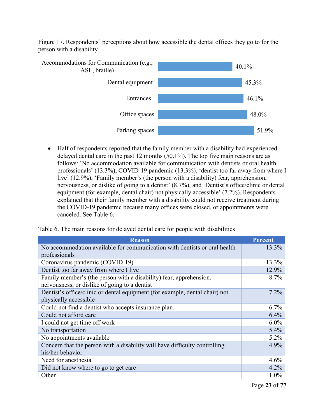<span id="page-22-0"></span>Figure 17. Respondents' perceptions about how accessible the dental offices they go to for the person with a disability



• Half of respondents reported that the family member with a disability had experienced delayed dental care in the past 12 months (50.1%). The top five main reasons are as follows: 'No accommodation available for communication with dentists or oral health professionals' (13.3%), COVID-19 pandemic (13.3%), 'dentist too far away from where I live' (12.9%), 'Family member's (the person with a disability) fear, apprehension, nervousness, or dislike of going to a dentist' (8.7%), and 'Dentist's office/clinic or dental equipment (for example, dental chair) not physically accessible' (7.2%). Respondents explained that their family member with a disability could not receive treatment during the COVID-19 pandemic because many offices were closed, or appointments were canceled. See Table 6.

Table 6. The main reasons for delayed dental care for people with disabilities

| <b>Reason</b>                                                               | <b>Percent</b> |
|-----------------------------------------------------------------------------|----------------|
| No accommodation available for communication with dentists or oral health   | $13.3\%$       |
| professionals                                                               |                |
| Coronavirus pandemic (COVID-19)                                             | 13.3%          |
| Dentist too far away from where I live                                      | 12.9%          |
| Family member's (the person with a disability) fear, apprehension,          | 8.7%           |
| nervousness, or dislike of going to a dentist                               |                |
| Dentist's office/clinic or dental equipment (for example, dental chair) not | $7.2\%$        |
| physically accessible                                                       |                |
| Could not find a dentist who accepts insurance plan                         | 6.7%           |
| Could not afford care                                                       | 6.4%           |
| I could not get time off work                                               | $6.0\%$        |
| No transportation                                                           | $5.4\%$        |
| No appointments available                                                   | $5.2\%$        |
| Concern that the person with a disability will have difficulty controlling  | 4.9%           |
| his/her behavior                                                            |                |
| Need for anesthesia                                                         | 4.6%           |
| Did not know where to go to get care                                        | $4.2\%$        |
| Other                                                                       | $1.0\%$        |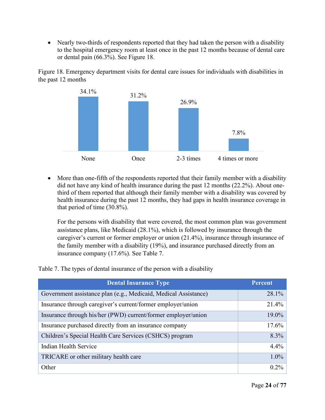<span id="page-23-0"></span>• Nearly two-thirds of respondents reported that they had taken the person with a disability to the hospital emergency room at least once in the past 12 months because of dental care or dental pain (66.3%). See Figure 18.

Figure 18. Emergency department visits for dental care issues for individuals with disabilities in the past 12 months



• More than one-fifth of the respondents reported that their family member with a disability did not have any kind of health insurance during the past 12 months (22.2%). About onethird of them reported that although their family member with a disability was covered by health insurance during the past 12 months, they had gaps in health insurance coverage in that period of time (30.8%).

For the persons with disability that were covered, the most common plan was government assistance plans, like Medicaid (28.1%), which is followed by insurance through the caregiver's current or former employer or union (21.4%), insurance through insurance of the family member with a disability (19%), and insurance purchased directly from an insurance company (17.6%). See Table 7.

Table 7. The types of dental insurance of the person with a disability

| <b>Dental Insurance Type</b>                                    | Percent |
|-----------------------------------------------------------------|---------|
| Government assistance plan (e.g., Medicaid, Medical Assistance) | 28.1%   |
| Insurance through caregiver's current/former employer/union     | 21.4%   |
| Insurance through his/her (PWD) current/former employer/union   | 19.0%   |
| Insurance purchased directly from an insurance company          | 17.6%   |
| Children's Special Health Care Services (CSHCS) program         | 8.3%    |
| Indian Health Service                                           | 4.4%    |
| TRICARE or other military health care                           | 1.0%    |
| Other                                                           | 0.2%    |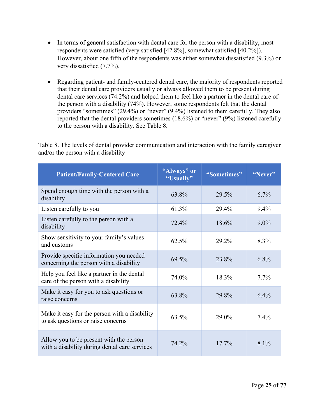- <span id="page-24-0"></span>• In terms of general satisfaction with dental care for the person with a disability, most respondents were satisfied (very satisfied [42.8%], somewhat satisfied [40.2%]). However, about one fifth of the respondents was either somewhat dissatisfied (9.3%) or very dissatisfied (7.7%).
- Regarding patient- and family-centered dental care, the majority of respondents reported that their dental care providers usually or always allowed them to be present during dental care services (74.2%) and helped them to feel like a partner in the dental care of the person with a disability (74%). However, some respondents felt that the dental providers "sometimes" (29.4%) or "never" (9.4%) listened to them carefully. They also reported that the dental providers sometimes (18.6%) or "never" (9%) listened carefully to the person with a disability. See Table 8.

Table 8. The levels of dental provider communication and interaction with the family caregiver and/or the person with a disability

| <b>Patient/Family-Centered Care</b>                                                      | "Always" or<br>"Usually" | "Sometimes" | "Never" |
|------------------------------------------------------------------------------------------|--------------------------|-------------|---------|
| Spend enough time with the person with a<br>disability                                   | 63.8%                    | 29.5%       | $6.7\%$ |
| Listen carefully to you                                                                  | 61.3%                    | 29.4%       | $9.4\%$ |
| Listen carefully to the person with a<br>disability                                      | 72.4%                    | 18.6%       | $9.0\%$ |
| Show sensitivity to your family's values<br>and customs                                  | 62.5%                    | 29.2%       | 8.3%    |
| Provide specific information you needed<br>concerning the person with a disability       | 69.5%                    | 23.8%       | $6.8\%$ |
| Help you feel like a partner in the dental<br>care of the person with a disability       | 74.0%                    | 18.3%       | $7.7\%$ |
| Make it easy for you to ask questions or<br>raise concerns                               | 63.8%                    | 29.8%       | $6.4\%$ |
| Make it easy for the person with a disability<br>to ask questions or raise concerns      | 63.5%                    | 29.0%       | $7.4\%$ |
| Allow you to be present with the person<br>with a disability during dental care services | 74.2%                    | $17.7\%$    | $8.1\%$ |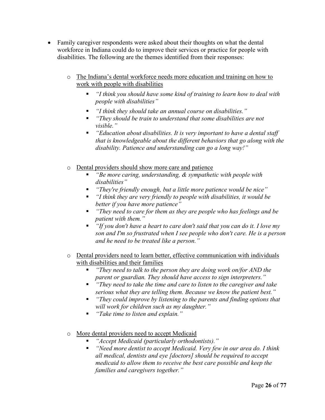- Family caregiver respondents were asked about their thoughts on what the dental workforce in Indiana could do to improve their services or practice for people with disabilities. The following are the themes identified from their responses:
	- o The Indiana's dental workforce needs more education and training on how to work with people with disabilities
		- *"I think you should have some kind of training to learn how to deal with people with disabilities"*
		- *"I think they should take an annual course on disabilities."*
		- *"They should be train to understand that some disabilities are not visible."*
		- *"Education about disabilities. It is very important to have a dental staff that is knowledgeable about the different behaviors that go along with the disability. Patience and understanding can go a long way!"*
	- o Dental providers should show more care and patience
		- *"Be more caring, understanding, & sympathetic with people with disabilities"*
		- *"They're friendly enough, but a little more patience would be nice"*
		- *"I think they are very friendly to people with disabilities, it would be better if you have more patience"*
		- *"They need to care for them as they are people who has feelings and be patient with them."*
		- *"If you don't have a heart to care don't said that you can do it. I love my son and I'm so frustrated when I see people who don't care. He is a person and he need to be treated like a person."*
	- o Dental providers need to learn better, effective communication with individuals with disabilities and their families
		- *"They need to talk to the person they are doing work on/for AND the parent or guardian. They should have access to sign interpreters."*
		- *"They need to take the time and care to listen to the caregiver and take serious what they are telling them. Because we know the patient best."*
		- *"They could improve by listening to the parents and finding options that will work for children such as my daughter."*
		- *"Take time to listen and explain."*
	- o More dental providers need to accept Medicaid
		- *"Accept Medicaid (particularly orthodontists)."*
		- *"Need more dentist to accept Medicaid. Very few in our area do. I think all medical, dentists and eye [doctors] should be required to accept medicaid to allow them to receive the best care possible and keep the families and caregivers together."*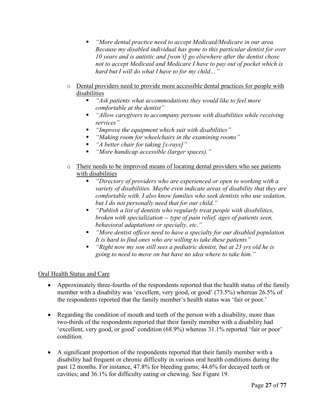- *"More dental practice need to accept Medicaid/Medicare in our area. Because my disabled individual has gone to this particular dentist for over 10 years and is autistic and [won't] go elsewhere after the dentist chose not to accept Medicaid and Medicare I have to pay out of pocket which is hard but I will do what I have to for my child…"*
- o Dental providers need to provide more accessible dental practices for people with disabilities
	- *"Ask patients what accommodations they would like to feel more comfortable at the dentist"*
	- *"Allow caregivers to accompany persons with disabilities while receiving services"*
	- *"Improve the equipment which suit with disabilities"*
	- *"Making room for wheelchairs in the examining rooms"*
	- *"A better chair for taking [x-rays]"*
	- *"More handicap accessible (larger spaces)."*
- o There needs to be improved means of locating dental providers who see patients with disabilities
	- *"Directory of providers who are experienced or open to working with a variety of disabilities. Maybe even indicate areas of disability that they are comfortable with. I also know families who seek dentists who use sedation, but I do not personally need that for our child."*
	- *"Publish a list of dentists who regularly treat people with disabilities, broken with specialization -- type of pain relief, ages of patients seen, behavioral adaptations or specialty, etc."*
	- *"More dentist offices need to have a specialty for our disabled population. It is hard to find ones who are willing to take these patients"*
	- *"Right now my son still sees a pediatric dentist, but at 23 yrs old he is going to need to move on but have no idea where to take him."*

### <span id="page-26-0"></span>Oral Health Status and Care

- Approximately three-fourths of the respondents reported that the health status of the family member with a disability was 'excellent, very good, or good' (73.5%) whereas 26.5% of the respondents reported that the family member's health status was 'fair or poor.'
- Regarding the condition of mouth and teeth of the person with a disability, more than two-thirds of the respondents reported that their family member with a disability had 'excellent, very good, or good' condition (68.9%) whereas 31.1% reported 'fair or poor' condition.
- A significant proportion of the respondents reported that their family member with a disability had frequent or chronic difficulty in various oral health conditions during the past 12 months. For instance, 47.8% for bleeding gums; 44.6% for decayed teeth or cavities; and 36.1% for difficulty eating or chewing. See Figure 19.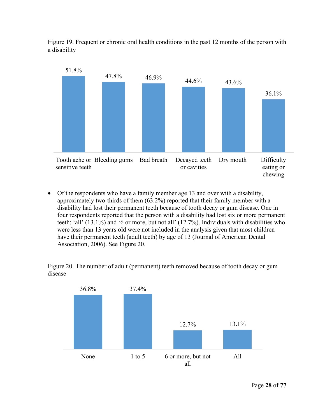<span id="page-27-0"></span>Figure 19. Frequent or chronic oral health conditions in the past 12 months of the person with a disability



• Of the respondents who have a family member age 13 and over with a disability, approximately two-thirds of them (63.2%) reported that their family member with a disability had lost their permanent teeth because of tooth decay or gum disease. One in four respondents reported that the person with a disability had lost six or more permanent teeth: 'all' (13.1%) and '6 or more, but not all' (12.7%). Individuals with disabilities who were less than 13 years old were not included in the analysis given that most children have their permanent teeth (adult teeth) by age of 13 (Journal of American Dental Association, 2006). See Figure 20.

Figure 20. The number of adult (permanent) teeth removed because of tooth decay or gum disease

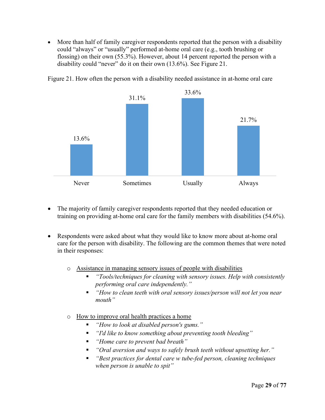<span id="page-28-0"></span>• More than half of family caregiver respondents reported that the person with a disability could "always" or "usually" performed at-home oral care (e.g., tooth brushing or flossing) on their own (55.3%). However, about 14 percent reported the person with a disability could "never" do it on their own (13.6%). See Figure 21.



Figure 21. How often the person with a disability needed assistance in at-home oral care

- The majority of family caregiver respondents reported that they needed education or training on providing at-home oral care for the family members with disabilities (54.6%).
- Respondents were asked about what they would like to know more about at-home oral care for the person with disability. The following are the common themes that were noted in their responses:

o Assistance in managing sensory issues of people with disabilities

- *"Tools/techniques for cleaning with sensory issues. Help with consistently performing oral care independently."*
- *"How to clean teeth with oral sensory issues/person will not let you near mouth"*
- o How to improve oral health practices a home
	- *"How to look at disabled person's gums."*
	- *"I'd like to know something about preventing tooth bleeding"*
	- *"Home care to prevent bad breath"*
	- *"Oral aversion and ways to safely brush teeth without upsetting her."*
	- *"Best practices for dental care w tube-fed person, cleaning techniques when person is unable to spit"*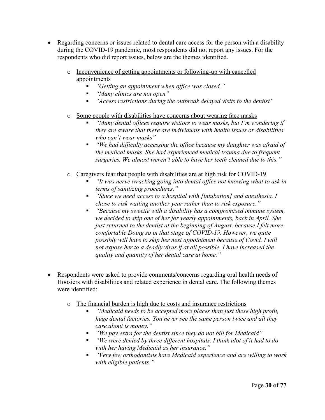- Regarding concerns or issues related to dental care access for the person with a disability during the COVID-19 pandemic, most respondents did not report any issues. For the respondents who did report issues, below are the themes identified.
	- o Inconvenience of getting appointments or following-up with cancelled appointments
		- *"Getting an appointment when office was closed."*
		- *"Many clinics are not open"*
		- *"Access restrictions during the outbreak delayed visits to the dentist"*

#### o Some people with disabilities have concerns about wearing face masks

- *"Many dental offices require visitors to wear masks, but I'm wondering if they are aware that there are individuals with health issues or disabilities who can't wear masks"*
- *"We had difficulty accessing the office because my daughter was afraid of the medical masks. She had experienced medical trauma due to frequent surgeries. We almost weren't able to have her teeth cleaned due to this."*

#### o Caregivers fear that people with disabilities are at high risk for COVID-19

- *"It was nerve wracking going into dental office not knowing what to ask in terms of sanitizing procedures."*
- *"Since we need access to a hospital with [intubation] and anesthesia, I chose to risk waiting another year rather than to risk exposure."*
- *"Because my sweetie with a disability has a compromised immune system, we decided to skip one of her for yearly appointments, back in April. She just returned to the dentist at the beginning of August, because I felt more comfortable Doing so in that stage of COVID-19. However, we quite possibly will have to skip her next appointment because of Covid. I will not expose her to a deadly virus if at all possible. I have increased the quality and quantity of her dental care at home."*
- Respondents were asked to provide comments/concerns regarding oral health needs of Hoosiers with disabilities and related experience in dental care. The following themes were identified:
	- o The financial burden is high due to costs and insurance restrictions
		- *"Medicaid needs to be accepted more places than just these high profit, huge dental factories. You never see the same person twice and all they care about is money."*
		- *"We pay extra for the dentist since they do not bill for Medicaid"*
		- *"We were denied by three different hospitals. I think alot of it had to do with her having Medicaid as her insurance."*
		- *"Very few orthodontists have Medicaid experience and are willing to work with eligible patients."*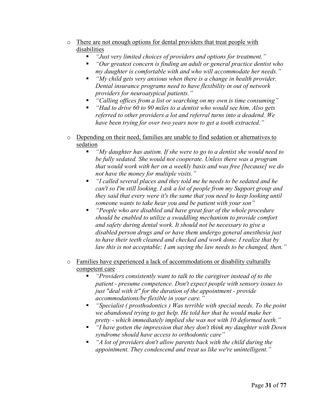- o There are not enough options for dental providers that treat people with disabilities
	- *"Just very limited choices of providers and options for treatment."*
	- *"Our greatest concern is finding an adult or general practice dentist who my daughter is comfortable with and who will accommodate her needs."*
	- *"My child gets very anxious when there is a change in health provider. Dental insurance programs need to have flexibility in out of network providers for neuroatypical patients."*
	- *"Calling offices from a list or searching on my own is time consuming"*
	- *"Had to drive 60 to 90 miles to a dentist who would see him. Also gets referred to other providers a lot and referral turns into a deadend. We have been trying for over two years now to get a tooth extracted."*
- o Depending on their need, families are unable to find sedation or alternatives to sedation
	- *"My daughter has autism. If she were to go to a dentist she would need to be fully sedated. She would not cooperate. Unless there was a program that would work with her on a weekly basis and was free [because] we do not have the money for multiple visits."*
	- *"I called several places and they told me he needs to be sedated and he can't so I'm still looking. I ask a lot of people from my Support group and they said that every were it's the same that you need to keep looking until someone wants to take hear you and be patient with your son"*
	- *"People who are disabled and have great fear of the whole procedure should be enabled to utilize a swaddling mechanism to provide comfort and safety during dental work. It should not be necessary to give a disabled person drugs and or have them undergo general anesthesia just to have their teeth cleaned and checked and work done. I realize that by law this is not acceptable; I am saying the law needs to be changed, then."*
- o Families have experienced a lack of accommodations or disability culturally competent care
	- *"Providers consistently want to talk to the caregiver instead of to the patient - presume competence. Don't expect people with sensory issues to just "deal with it" for the duration of the appointment - provide accommodations/be flexible in your care."*
	- *"Specialist ( prosthodontics ) Was terrible with special needs. To the point we abandoned trying to get help. He told her that he would make her pretty - which immediately implied she was not with 10 deformed teeth."*
	- *"I have gotten the impression that they don't think my daughter with Down syndrome should have access to orthodontic care"*
	- *"A lot of providers don't allow parents back with the child during the appointment. They condescend and treat us like we're unintelligent."*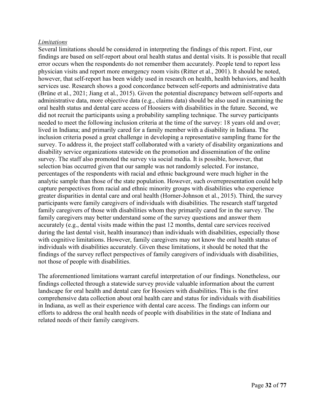#### <span id="page-31-0"></span>*Limitations*

Several limitations should be considered in interpreting the findings of this report. First, our findings are based on self-report about oral health status and dental visits. It is possible that recall error occurs when the respondents do not remember them accurately. People tend to report less physician visits and report more emergency room visits (Ritter et al., 2001). It should be noted, however, that self-report has been widely used in research on health, health behaviors, and health services use. Research shows a good concordance between self-reports and administrative data [\(Brüne](https://pubmed.ncbi.nlm.nih.gov/?term=Br%C3%BCne+M&cauthor_id=33617072) et al., 2021; Jiang et al., 2015). Given the potential discrepancy between self-reports and administrative data, more objective data (e.g., claims data) should be also used in examining the oral health status and dental care access of Hoosiers with disabilities in the future. Second, we did not recruit the participants using a probability sampling technique. The survey participants needed to meet the following inclusion criteria at the time of the survey: 18 years old and over; lived in Indiana; and primarily cared for a family member with a disability in Indiana. The inclusion criteria posed a great challenge in developing a representative sampling frame for the survey. To address it, the project staff collaborated with a variety of disability organizations and disability service organizations statewide on the promotion and dissemination of the online survey. The staff also promoted the survey via social media. It is possible, however, that selection bias occurred given that our sample was not randomly selected. For instance, percentages of the respondents with racial and ethnic background were much higher in the analytic sample than those of the state population. However, such overrepresentation could help capture perspectives from racial and ethnic minority groups with disabilities who experience greater disparities in dental care and oral health (Horner-Johnson et al., 2015). Third, the survey participants were family caregivers of individuals with disabilities. The research staff targeted family caregivers of those with disabilities whom they primarily cared for in the survey. The family caregivers may better understand some of the survey questions and answer them accurately (e.g., dental visits made within the past 12 months, dental care services received during the last dental visit, health insurance) than individuals with disabilities, especially those with cognitive limitations. However, family caregivers may not know the oral health status of individuals with disabilities accurately. Given these limitations, it should be noted that the findings of the survey reflect perspectives of family caregivers of individuals with disabilities, not those of people with disabilities.

The aforementioned limitations warrant careful interpretation of our findings. Nonetheless, our findings collected through a statewide survey provide valuable information about the current landscape for oral health and dental care for Hoosiers with disabilities. This is the first comprehensive data collection about oral health care and status for individuals with disabilities in Indiana, as well as their experience with dental care access. The findings can inform our efforts to address the oral health needs of people with disabilities in the state of Indiana and related needs of their family caregivers.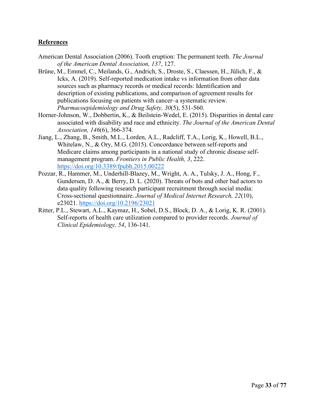#### <span id="page-32-0"></span>**References**

- American Dental Association (2006). Tooth eruption: The permanent teeth. *The Journal of the American Dental Association, 137*, 127.
- [Brüne,](https://pubmed.ncbi.nlm.nih.gov/?term=Br%C3%BCne+M&cauthor_id=33617072) M., Emmel, C., Meilands, G., Andrich, S., Droste, S., Claessen, H., [Jülich,](https://pubmed.ncbi.nlm.nih.gov/?term=J%C3%BClich+F&cauthor_id=33617072) F., & Icks, A. (2019). Self-reported medication intake vs information from other data sources such as pharmacy records or medical records: Identification and description of existing publications, and comparison of agreement results for publications focusing on patients with cancer–a systematic review. *Pharmacoepidemiology and Drug Safety, 30*(5), 531-560.
- Horner-Johnson, W., Dobbertin, K., & Beilstein-Wedel, E. (2015). Disparities in dental care associated with disability and race and ethnicity. *The Journal of the American Dental Association, 146*(6), 366-374.
- Jiang, L., Zhang, B., Smith, M.L., Lorden, A.L., Radcliff, T.A., Lorig, K., Howell, B.L., Whitelaw, N., & Ory, M.G. (2015). Concordance between self-reports and Medicare claims among participants in a national study of chronic disease selfmanagement program. *Frontiers in Public Health, 3*, 222. <https://doi.org/10.3389/fpubh.2015.00222>
- Pozzar, R., Hammer, M., Underhill-Blazey, M., Wright, A. A., Tulsky, J. A., Hong, F., Gundersen, D. A., & Berry, D. L. (2020). Threats of bots and other bad actors to data quality following research participant recruitment through social media: Cross-sectional questionnaire. *Journal of Medical Internet Research, 22*(10), e23021.<https://doi.org/10.2196/23021>
- Ritter, P.L., Stewart, A.L., Kaymaz, H., Sobel, D.S., Block, D. A., & Lorig, K. R. (2001). Self-reports of health care utilization compared to provider records. *Journal of Clinical Epidemiology, 54*, 136-141.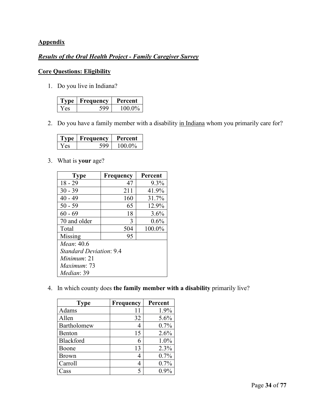## <span id="page-33-0"></span>**Appendix**

#### *Results of the Oral Health Project - Family Caregiver Survey*

## **Core Questions: Eligibility**

1. Do you live in Indiana?

| ne - | <b>Frequency</b> | Percent |
|------|------------------|---------|
| es   |                  | 100.0%  |

2. Do you have a family member with a disability in Indiana whom you primarily care for?

| ካሶ   | Frequency | Percent |
|------|-----------|---------|
| y es |           | 100.0%  |

3. What is **your** age?

| <b>Type</b>                    | Frequency | Percent |
|--------------------------------|-----------|---------|
| $18 - 29$                      | 47        | 9.3%    |
| $30 - 39$                      | 211       | 41.9%   |
| $40 - 49$                      | 160       | 31.7%   |
| $50 - 59$                      | 65        | 12.9%   |
| $60 - 69$                      | 18        | 3.6%    |
| 70 and older                   | 3         | 0.6%    |
| Total                          | 504       | 100.0%  |
| Missing                        | 95        |         |
| <i>Mean</i> : 40.6             |           |         |
| <i>Standard Deviation:</i> 9.4 |           |         |
| <i>Minimum</i> : 21            |           |         |
| Maximum: 73                    |           |         |
| Median: 39                     |           |         |

4. In which county does **the family member with a disability** primarily live?

| <b>Type</b>  | <b>Frequency</b> | Percent |
|--------------|------------------|---------|
| Adams        | 11               | 1.9%    |
| Allen        | 32               | 5.6%    |
| Bartholomew  |                  | 0.7%    |
| Benton       | 15               | 2.6%    |
| Blackford    | 6                | 1.0%    |
| Boone        | 13               | 2.3%    |
| <b>Brown</b> | 4                | 0.7%    |
| Carroll      | 4                | 0.7%    |
| Cass         | 5                | $0.9\%$ |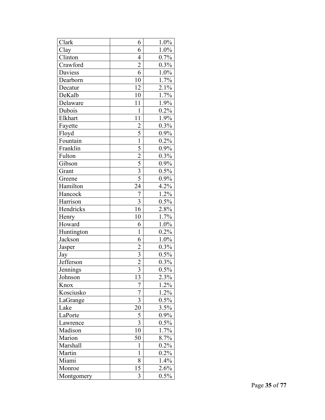| Clark               | 6                       | 1.0%    |
|---------------------|-------------------------|---------|
| Clay                | 6                       | 1.0%    |
| Clinton             | $\overline{4}$          | 0.7%    |
| Crawford            | $\overline{c}$          | 0.3%    |
| Daviess             | 6                       | $1.0\%$ |
| Dearborn            | 10                      | 1.7%    |
| Decatur             | 12                      | $2.1\%$ |
| DeKalb              | 10                      | 1.7%    |
| Delaware            | 11                      | 1.9%    |
| Dubois              | $\mathbf{1}$            | 0.2%    |
| Elkhart             | 11                      | 1.9%    |
| Fayette             | $\overline{c}$          | 0.3%    |
| Floyd               | $\overline{5}$          | 0.9%    |
| Fountain            | $\mathbf{1}$            | 0.2%    |
| Franklin            | 5                       | 0.9%    |
| Fulton              | $\overline{2}$          | $0.3\%$ |
| Gibson              |                         | 0.9%    |
| Grant               | $\frac{5}{3}$           | 0.5%    |
| Greene              |                         | 0.9%    |
| Hamilton            | 24                      | 4.2%    |
| Hancock             | 7                       | 1.2%    |
| Harrison            | $\overline{\mathbf{3}}$ | 0.5%    |
| Hendricks           | 16                      | 2.8%    |
| $\overline{H}$ enry | 10                      | 1.7%    |
| Howard              | 6                       | 1.0%    |
| Huntington          | $\mathbf 1$             | 0.2%    |
| Jackson             | 6                       | 1.0%    |
| Jasper              | $\overline{2}$          | 0.3%    |
| Jay                 | 3                       | 0.5%    |
| Jefferson           | $\overline{2}$          | 0.3%    |
| Jennings            | $\overline{3}$          | $0.5\%$ |
| Johnson             | 13                      | 2.3%    |
| Knox                | 7                       | 1.2%    |
| Kosciusko           | $\overline{7}$          | 1.2%    |
| LaGrange            | 3                       | $0.5\%$ |
| Lake                | 20                      | 3.5%    |
| LaPorte             | 5                       | $0.9\%$ |
| Lawrence            | 3                       | 0.5%    |
| Madison             | 10                      | 1.7%    |
| Marion              | 50                      | 8.7%    |
| Marshall            | 1                       | 0.2%    |
| Martin              | 1                       | $0.2\%$ |
| Miami               | 8                       | 1.4%    |
| Monroe              | 15                      | 2.6%    |
| Montgomery          | 3                       | 0.5%    |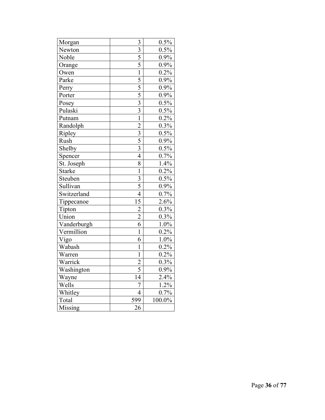| Morgan        | 3               | 0.5%    |
|---------------|-----------------|---------|
| Newton        | $\overline{3}$  | 0.5%    |
| Noble         | 5               | 0.9%    |
| Orange        | 5               | 0.9%    |
| Owen          | $\mathbf{1}$    | 0.2%    |
| Parke         | $\overline{5}$  | 0.9%    |
| Perry         | $\overline{5}$  | 0.9%    |
| Porter        | 5               | 0.9%    |
| Posey         | $\overline{3}$  | 0.5%    |
| Pulaski       | $\overline{3}$  | 0.5%    |
| Putnam        | $\mathbf{1}$    | 0.2%    |
| Randolph      | $\overline{2}$  | $0.3\%$ |
| Ripley        |                 | 0.5%    |
| Rush          | $\frac{3}{5}$   | 0.9%    |
| Shelby        | 3               | 0.5%    |
| Spencer       | $\overline{4}$  | 0.7%    |
| St. Joseph    | 8               | 1.4%    |
| <b>Starke</b> | $\mathbf{1}$    | 0.2%    |
| Steuben       | 3               | $0.5\%$ |
| Sullivan      | $\overline{5}$  | 0.9%    |
| Switzerland   | $\overline{4}$  | 0.7%    |
| Tippecanoe    | $\overline{15}$ | 2.6%    |
| Tipton        | $\overline{c}$  | 0.3%    |
| Union         | $\overline{2}$  | 0.3%    |
| Vanderburgh   | $\overline{6}$  | 1.0%    |
| Vermillion    | $\overline{1}$  | 0.2%    |
| Vigo          | 6               | 1.0%    |
| Wabash        | $\overline{1}$  | 0.2%    |
| Warren        | $\mathbf{1}$    | 0.2%    |
| Warrick       | $\overline{c}$  | 0.3%    |
| Washington    | $\overline{5}$  | 0.9%    |
| Wayne         | 14              | 2.4%    |
| Wells         | 7               | 1.2%    |
| Whitley       | $\overline{4}$  | 0.7%    |
| Total         | 599             | 100.0%  |
| Missing       | 26              |         |
|               |                 |         |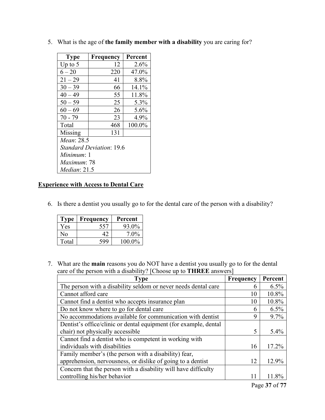| <b>Type</b>                     | <b>Frequency</b> | Percent |  |
|---------------------------------|------------------|---------|--|
| Up to $5$                       | 12               | $2.6\%$ |  |
| $6 - 20$                        | 220              | 47.0%   |  |
| $21 - 29$                       | 41               | 8.8%    |  |
| $30 - 39$                       | 66               | 14.1%   |  |
| $40 - 49$                       | 55               | 11.8%   |  |
| $50 - 59$                       | 25               | 5.3%    |  |
| $60 - 69$                       | 26               | 5.6%    |  |
| $70 - 79$                       | 23               | 4.9%    |  |
| Total                           | 468              | 100.0%  |  |
| Missing                         | 131              |         |  |
| Mean: 28.5                      |                  |         |  |
| <b>Standard Deviation: 19.6</b> |                  |         |  |
| <i>Minimum</i> : 1              |                  |         |  |
| <i>Maximum</i> : 78             |                  |         |  |
| Median: 21.5                    |                  |         |  |

5. What is the age of **the family member with a disability** you are caring for?

## **Experience with Access to Dental Care**

6. Is there a dentist you usually go to for the dental care of the person with a disability?

| Type  | Frequency    | Percent |
|-------|--------------|---------|
| Yes   | 557          | 93.0%   |
| Nο    | $4^{\prime}$ | $7.0\%$ |
| Total | 599          | 100.0%  |

7. What are the **main** reasons you do NOT have a dentist you usually go to for the dental care of the person with a disability? [Choose up to **THREE** answers]

| <b>Type</b>                                                      | Frequency | Percent |
|------------------------------------------------------------------|-----------|---------|
| The person with a disability seldom or never needs dental care   | 6         | 6.5%    |
| Cannot afford care                                               | 10        | 10.8%   |
| Cannot find a dentist who accepts insurance plan                 | 10        | 10.8%   |
| Do not know where to go for dental care                          | 6         | $6.5\%$ |
| No accommodations available for communication with dentist       | 9         | $9.7\%$ |
| Dentist's office/clinic or dental equipment (for example, dental |           |         |
| chair) not physically accessible                                 | 5         | 5.4%    |
| Cannot find a dentist who is competent in working with           |           |         |
| individuals with disabilities                                    | 16        | 17.2%   |
| Family member's (the person with a disability) fear,             |           |         |
| apprehension, nervousness, or dislike of going to a dentist      | 12        | 12.9%   |
| Concern that the person with a disability will have difficulty   |           |         |
| controlling his/her behavior                                     | 11        | 11.8%   |
|                                                                  |           |         |

Page **37** of **77**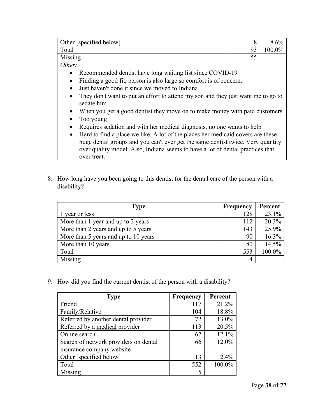| Other [specified below] |           |       |
|-------------------------|-----------|-------|
| Total                   | ۵a<br>. ט | $0\%$ |
| Missing                 | ັບ        |       |

- Recommended dentist have long waiting list since COVID-19
- Finding a good fit, person is also large so comfort is of concern.
- Just haven't done it since we moved to Indiana
- They don't want to put an effort to attend my son and they just want me to go to sedate him
- When you get a good dentist they move on to make money with paid customers
- Too young
- Requires sedation and with her medical diagnosis, no one wants to help
- Hard to find a place we like. A lot of the places her medicaid covers are these huge dental groups and you can't ever get the same dentist twice. Very quantity over quality model. Also, Indiana seems to have a lot of dental practices that over treat.
- 8. How long have you been going to this dentist for the dental care of the person with a disability?

| Type                                 | <b>Frequency</b> | Percent |
|--------------------------------------|------------------|---------|
| 1 year or less                       | 128              | 23.1%   |
| More than 1 year and up to 2 years   | 112              | 20.3%   |
| More than 2 years and up to 5 years  | 143              | 25.9%   |
| More than 5 years and up to 10 years | 90               | 16.3%   |
| More than 10 years                   | 80               | 14.5%   |
| Total                                | 553              | 100.0%  |
| Missing                              | 4                |         |

9. How did you find the current dentist of the person with a disability?

| <b>Type</b>                           | <b>Frequency</b> | Percent |
|---------------------------------------|------------------|---------|
| Friend                                | 117              | 21.2%   |
| Family/Relative                       | 104              | 18.8%   |
| Referred by another dental provider   | 72               | 13.0%   |
| Referred by a medical provider        | 113              | 20.5%   |
| Online search                         | 67               | 12.1%   |
| Search of network providers on dental | 66               | 12.0%   |
| insurance company website             |                  |         |
| Other [specified below]               | 13               | 2.4%    |
| Total                                 | 552              | 100.0%  |
| Missing                               | 5                |         |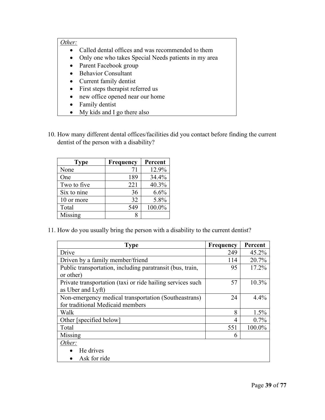- Called dental offices and was recommended to them
- Only one who takes Special Needs patients in my area
- Parent Facebook group
- Behavior Consultant
- Current family dentist
- First steps therapist referred us
- new office opened near our home
- Family dentist
- My kids and I go there also
- 10. How many different dental offices/facilities did you contact before finding the current dentist of the person with a disability?

| <b>Type</b> | Frequency | Percent |
|-------------|-----------|---------|
| None        | 71        | 12.9%   |
| One         | 189       | 34.4%   |
| Two to five | 221       | 40.3%   |
| Six to nine | 36        | 6.6%    |
| 10 or more  | 32        | 5.8%    |
| Total       | 549       | 100.0%  |
| Missing     |           |         |

11. How do you usually bring the person with a disability to the current dentist?

| <b>Type</b>                                                | <b>Frequency</b> | Percent  |
|------------------------------------------------------------|------------------|----------|
| Drive                                                      | 249              | 45.2%    |
| Driven by a family member/friend                           | 114              | 20.7%    |
| Public transportation, including paratransit (bus, train,  | 95               | $17.2\%$ |
| or other)                                                  |                  |          |
| Private transportation (taxi or ride hailing services such | 57               | 10.3%    |
| as Uber and Lyft)                                          |                  |          |
| Non-emergency medical transportation (Southeastrans)       | 24               | 4.4%     |
| for traditional Medicaid members                           |                  |          |
| Walk                                                       | 8                | 1.5%     |
| Other [specified below]                                    | 4                | 0.7%     |
| Total                                                      | 551              | 100.0%   |
| Missing                                                    | 6                |          |
| Other:                                                     |                  |          |
| He drives                                                  |                  |          |
| Ask for ride                                               |                  |          |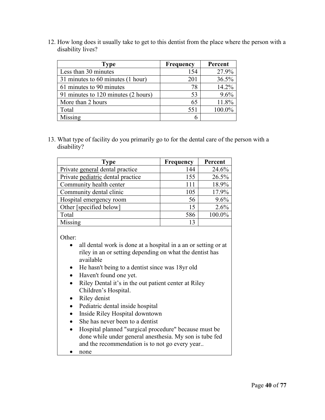12. How long does it usually take to get to this dentist from the place where the person with a disability lives?

| Type                                | <b>Frequency</b> | Percent |
|-------------------------------------|------------------|---------|
| Less than 30 minutes                | 154              | 27.9%   |
| 31 minutes to 60 minutes (1 hour)   | 201              | 36.5%   |
| 61 minutes to 90 minutes            | 78               | 14.2%   |
| 91 minutes to 120 minutes (2 hours) | 53               | 9.6%    |
| More than 2 hours                   | 65               | 11.8%   |
| Total                               | 551              | 100.0%  |
| Missing                             |                  |         |

13. What type of facility do you primarily go to for the dental care of the person with a disability?

| <b>Type</b>                       | <b>Frequency</b> | Percent |
|-----------------------------------|------------------|---------|
| Private general dental practice   | 144              | 24.6%   |
| Private pediatric dental practice | 155              | 26.5%   |
| Community health center           | 111              | 18.9%   |
| Community dental clinic           | 105              | 17.9%   |
| Hospital emergency room           | 56               | 9.6%    |
| Other [specified below]           | 15               | 2.6%    |
| Total                             | 586              | 100.0%  |
| Missing                           | 13               |         |

Other:

- all dental work is done at a hospital in a an or setting or at riley in an or setting depending on what the dentist has available
- He hasn't being to a dentist since was 18yr old
- Haven't found one yet.
- Riley Dental it's in the out patient center at Riley Children's Hospital.
- Riley denist
- Pediatric dental inside hospital
- Inside Riley Hospital downtown
- She has never been to a dentist
- Hospital planned "surgical procedure" because must be done while under general anesthesia. My son is tube fed and the recommendation is to not go every year..
- none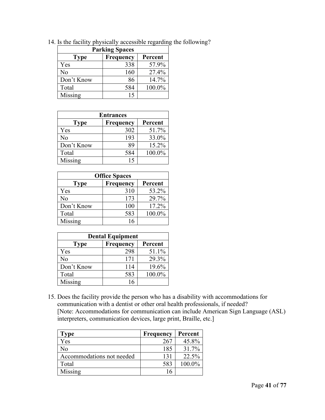| <b>Parking Spaces</b> |           |         |
|-----------------------|-----------|---------|
| <b>Type</b>           | Frequency | Percent |
| Yes                   | 338       | 57.9%   |
| No                    | 160       | 27.4%   |
| Don't Know            | 86        | 14.7%   |
| Total                 | 584       | 100.0%  |
| Missing               | 15        |         |

14. Is the facility physically accessible regarding the following?

| <b>Entrances</b> |           |         |  |
|------------------|-----------|---------|--|
| Type             | Frequency | Percent |  |
| Yes              | 302       | 51.7%   |  |
| No               | 193       | 33.0%   |  |
| Don't Know       | 89        | 15.2%   |  |
| Total            | 584       | 100.0%  |  |
| Missing          | 15        |         |  |

| <b>Office Spaces</b> |           |         |  |
|----------------------|-----------|---------|--|
| Type                 | Frequency | Percent |  |
| Yes                  | 310       | 53.2%   |  |
| No                   | 173       | 29.7%   |  |
| Don't Know           | 100       | 17.2%   |  |
| Total                | 583       | 100.0%  |  |
| Missing              | 16        |         |  |

| <b>Dental Equipment</b> |           |         |
|-------------------------|-----------|---------|
| <b>Type</b>             | Frequency | Percent |
| Yes                     | 298       | 51.1%   |
| No                      | 171       | 29.3%   |
| Don't Know              | 114       | 19.6%   |
| Total                   | 583       | 100.0%  |
| Missing                 | 16        |         |

15. Does the facility provide the person who has a disability with accommodations for communication with a dentist or other oral health professionals, if needed? [Note: Accommodations for communication can include American Sign Language (ASL) interpreters, communication devices, large print, Braille, etc.]

| <b>Type</b>               | Frequency | Percent |
|---------------------------|-----------|---------|
| Yes                       | 267       | 45.8%   |
| N <sub>o</sub>            | 185       | 31.7%   |
| Accommodations not needed | 131       | 22.5%   |
| Total                     | 583       | 100.0%  |
| Missing                   |           |         |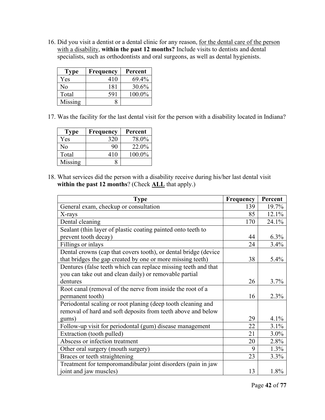16. Did you visit a dentist or a dental clinic for any reason, for the dental care of the person with a disability, **within the past 12 months?** Include visits to dentists and dental specialists, such as orthodontists and oral surgeons, as well as dental hygienists.

| <b>Type</b> | Frequency | Percent |
|-------------|-----------|---------|
| Yes         | 410       | 69.4%   |
| Nο          | 181       | 30.6%   |
| Total       | 591       | 100.0%  |
| Missing     |           |         |

17. Was the facility for the last dental visit for the person with a disability located in Indiana?

| Type    | Frequency | Percent   |
|---------|-----------|-----------|
| Yes     | 320       | 78.0%     |
| Nο      | 90        | 22.0%     |
| Total   | 410       | $100.0\%$ |
| Missing |           |           |

18. What services did the person with a disability receive during his/her last dental visit **within the past 12 months**? (Check **ALL** that apply.)

| <b>Type</b>                                                     | <b>Frequency</b> | Percent |
|-----------------------------------------------------------------|------------------|---------|
| General exam, checkup or consultation                           | 139              | 19.7%   |
| X-rays                                                          | 85               | 12.1%   |
| Dental cleaning                                                 | 170              | 24.1%   |
| Sealant (thin layer of plastic coating painted onto teeth to    |                  |         |
| prevent tooth decay)                                            | 44               | $6.3\%$ |
| Fillings or inlays                                              | 24               | 3.4%    |
| Dental crowns (cap that covers tooth), or dental bridge (device |                  |         |
| that bridges the gap created by one or more missing teeth)      | 38               | 5.4%    |
| Dentures (false teeth which can replace missing teeth and that  |                  |         |
| you can take out and clean daily) or removable partial          |                  |         |
| dentures                                                        | 26               | 3.7%    |
| Root canal (removal of the nerve from inside the root of a      |                  |         |
| permanent tooth)                                                | 16               | 2.3%    |
| Periodontal scaling or root planing (deep tooth cleaning and    |                  |         |
| removal of hard and soft deposits from teeth above and below    |                  |         |
| gums)                                                           | 29               | 4.1%    |
| Follow-up visit for periodontal (gum) disease management        | 22               | 3.1%    |
| Extraction (tooth pulled)                                       | 21               | 3.0%    |
| Abscess or infection treatment                                  | 20               | 2.8%    |
| Other oral surgery (mouth surgery)                              | 9                | 1.3%    |
| Braces or teeth straightening                                   | 23               | 3.3%    |
| Treatment for temporomandibular joint disorders (pain in jaw    |                  |         |
| joint and jaw muscles)                                          | 13               | 1.8%    |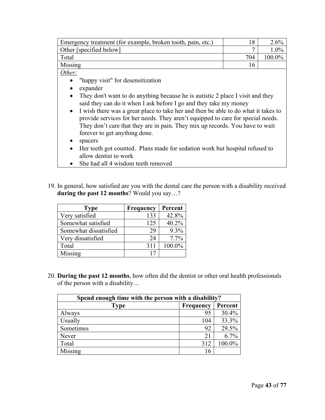| Emergency treatment (for example, broken tooth, pain, etc.) |     |           |
|-------------------------------------------------------------|-----|-----------|
| Other [specified below]                                     |     |           |
| Total                                                       | 704 | $100.0\%$ |
| Missing                                                     |     |           |

- "happy visit" for desensitization
- expander
- They don't want to do anything because he is autistic 2 place I visit and they said they can do it when I ask before I go and they take my money
- I wish there was a great place to take her and then be able to do what it takes to provide services for her needs. They aren't equipped to care for special needs. They don't care that they are in pain. They mix up records. You have to wait forever to get anything done.
- spacers
- Her teeth got counted. Plans made for sedation work but hospital refused to allow dentist to work
- She had all 4 wisdom teeth removed
- 19. In general, how satisfied are you with the dental care the person with a disability received **during the past 12 months**? Would you say…?

| <b>Type</b>           | <b>Frequency</b> | Percent |
|-----------------------|------------------|---------|
| Very satisfied        | 133              | 42.8%   |
| Somewhat satisfied    | 125              | 40.2%   |
| Somewhat dissatisfied | 29               | 9.3%    |
| Very dissatisfied     | 24               | 7.7%    |
| Total                 | 311              | 100.0%  |
| Missing               |                  |         |

20. **During the past 12 months**, how often did the dentist or other oral health professionals of the person with a disability…

| Spend enough time with the person with a disability? |           |         |
|------------------------------------------------------|-----------|---------|
| <b>Type</b>                                          | Frequency | Percent |
| Always                                               | 95        | 30.4%   |
| Usually                                              | 104       | 33.3%   |
| Sometimes                                            | 92        | 29.5%   |
| Never                                                | 21        | 6.7%    |
| Total                                                | 312       | 100.0%  |
| Missing                                              | 16        |         |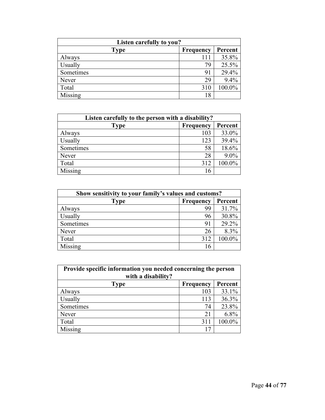| Listen carefully to you? |           |         |
|--------------------------|-----------|---------|
| <b>Type</b>              | Frequency | Percent |
| Always                   | 111       | 35.8%   |
| Usually                  | 79        | 25.5%   |
| Sometimes                | 91        | 29.4%   |
| Never                    | 29        | 9.4%    |
| Total                    | 310       | 100.0%  |
| Missing                  | 18        |         |

| Listen carefully to the person with a disability? |           |         |
|---------------------------------------------------|-----------|---------|
| <b>Type</b>                                       | Frequency | Percent |
| Always                                            | 103       | 33.0%   |
| Usually                                           | 123       | 39.4%   |
| Sometimes                                         | 58        | 18.6%   |
| Never                                             | 28        | $9.0\%$ |
| Total                                             | 312       | 100.0%  |
| Missing                                           | 16        |         |

| Show sensitivity to your family's values and customs? |                  |         |
|-------------------------------------------------------|------------------|---------|
| Type                                                  | <b>Frequency</b> | Percent |
| Always                                                | 99               | 31.7%   |
| Usually                                               | 96               | 30.8%   |
| Sometimes                                             | 91               | 29.2%   |
| Never                                                 | 26               | 8.3%    |
| Total                                                 | 312              | 100.0%  |
| Missing                                               | 16               |         |

| Provide specific information you needed concerning the person<br>with a disability? |           |         |
|-------------------------------------------------------------------------------------|-----------|---------|
| <b>Type</b>                                                                         | Frequency | Percent |
| Always                                                                              | 103       | 33.1%   |
| Usually                                                                             | 113       | 36.3%   |
| Sometimes                                                                           | 74        | 23.8%   |
| Never                                                                               | 21        | 6.8%    |
| Total                                                                               | 311       | 100.0%  |
| Missing                                                                             |           |         |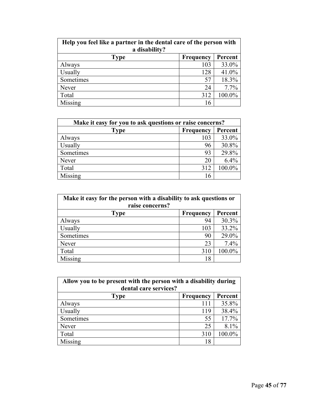| Help you feel like a partner in the dental care of the person with<br>a disability? |                  |         |
|-------------------------------------------------------------------------------------|------------------|---------|
| <b>Type</b>                                                                         | <b>Frequency</b> | Percent |
| Always                                                                              | 103              | 33.0%   |
| Usually                                                                             | 128              | 41.0%   |
| Sometimes                                                                           | 57               | 18.3%   |
| Never                                                                               | 24               | 7.7%    |
| Total                                                                               | 312              | 100.0%  |
| Missing                                                                             | 16               |         |

| Make it easy for you to ask questions or raise concerns? |     |         |
|----------------------------------------------------------|-----|---------|
| Type<br>Frequency                                        |     | Percent |
| Always                                                   | 103 | 33.0%   |
| Usually                                                  | 96  | 30.8%   |
| Sometimes                                                | 93  | 29.8%   |
| Never                                                    | 20  | 6.4%    |
| Total                                                    | 312 | 100.0%  |
| Missing                                                  | 16  |         |

| Make it easy for the person with a disability to ask questions or<br>raise concerns? |           |         |
|--------------------------------------------------------------------------------------|-----------|---------|
| <b>Type</b>                                                                          | Frequency | Percent |
| Always                                                                               | 94        | 30.3%   |
| Usually                                                                              | 103       | 33.2%   |
| Sometimes                                                                            | 90        | 29.0%   |
| Never                                                                                | 23        | 7.4%    |
| Total                                                                                | 310       | 100.0%  |
| Missing                                                                              | 18        |         |

| Allow you to be present with the person with a disability during<br>dental care services? |           |         |
|-------------------------------------------------------------------------------------------|-----------|---------|
| <b>Type</b>                                                                               | Frequency | Percent |
| Always                                                                                    | 111       | 35.8%   |
| Usually                                                                                   | 119       | 38.4%   |
| Sometimes                                                                                 | 55        | 17.7%   |
| Never                                                                                     | 25        | 8.1%    |
| Total                                                                                     | 310       | 100.0%  |
| Missing                                                                                   | 18        |         |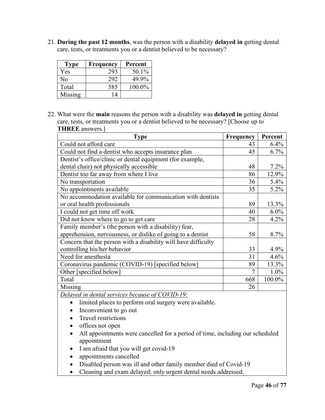21. **During the past 12 months**, was the person with a disability **delayed in** getting dental care, tests, or treatments you or a dentist believed to be necessary?

| <b>Type</b> | Frequency | Percent |
|-------------|-----------|---------|
| Yes         | 293       | 50.1%   |
| Nο          | 292       | 49.9%   |
| Total       | 585       | 100.0%  |
| Missing     | 14        |         |

22. What were the **main** reasons the person with a disability was **delayed in** getting dental care, tests, or treatments you or a dentist believed to be necessary? [Choose up to **THREE** answers.]

| <b>Type</b>                                                    | <b>Frequency</b> | Percent |
|----------------------------------------------------------------|------------------|---------|
| Could not afford care                                          | 43               | 6.4%    |
| Could not find a dentist who accepts insurance plan            | 45               | 6.7%    |
| Dentist's office/clinic or dental equipment (for example,      |                  |         |
| dental chair) not physically accessible                        | 48               | $7.2\%$ |
| Dentist too far away from where I live                         | 86               | 12.9%   |
| No transportation                                              | 36               | 5.4%    |
| No appointments available                                      | 35               | 5.2%    |
| No accommodation available for communication with dentists     |                  |         |
| or oral health professionals                                   | 89               | 13.3%   |
| I could not get time off work                                  | 40               | $6.0\%$ |
| Did not know where to go to get care                           | 28               | 4.2%    |
| Family member's (the person with a disability) fear,           |                  |         |
| apprehension, nervousness, or dislike of going to a dentist    | 58               | 8.7%    |
| Concern that the person with a disability will have difficulty |                  |         |
| controlling his/her behavior                                   | 33               | 4.9%    |
| Need for anesthesia                                            | 31               | 4.6%    |
| Coronavirus pandemic (COVID-19) [specified below]              | 89               | 13.3%   |
| Other [specified below]                                        |                  | $1.0\%$ |
| Total                                                          | 668              | 100.0%  |
| Missing                                                        | 26               |         |

*Delayed in dental services because of COVID-19:* 

- limited places to perform oral surgery were available.
- Inconvenient to go out
- Travel restrictions
- offices not open
- All appointments were cancelled for a period of time, including our scheduled appointment
- I am afraid that you will get covid-19
- appointments cancelled
- Disabled person was ill and other family member died of Covid-19
- Cleaning and exam delayed; only urgent dental needs addressed.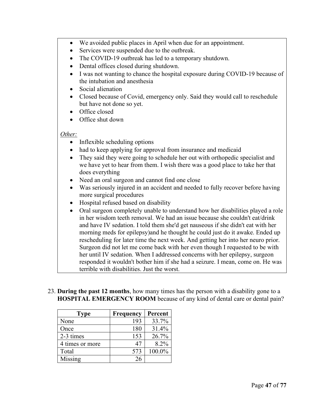- We avoided public places in April when due for an appointment.
- Services were suspended due to the outbreak.
- The COVID-19 outbreak has led to a temporary shutdown.
- Dental offices closed during shutdown.
- I was not wanting to chance the hospital exposure during COVID-19 because of the intubation and anesthesia
- Social alienation
- Closed because of Covid, emergency only. Said they would call to reschedule but have not done so yet.
- Office closed
- Office shut down

- Inflexible scheduling options
- had to keep applying for approval from insurance and medicaid
- They said they were going to schedule her out with orthopedic specialist and we have yet to hear from them. I wish there was a good place to take her that does everything
- Need an oral surgeon and cannot find one close
- Was seriously injured in an accident and needed to fully recover before having more surgical procedures
- Hospital refused based on disability
- Oral surgeon completely unable to understand how her disabilities played a role in her wisdom teeth removal. We had an issue because she couldn't eat/drink and have IV sedation. I told them she'd get nauseous if she didn't eat with her morning meds for epilepsy)and he thought he could just do it awake. Ended up rescheduling for later time the next week. And getting her into her neuro prior. Surgeon did not let me come back with her even though I requested to be with her until IV sedation. When I addressed concerns with her epilepsy, surgeon responded it wouldn't bother him if she had a seizure. I mean, come on. He was terrible with disabilities. Just the worst.
- 23. **During the past 12 months**, how many times has the person with a disability gone to a **HOSPITAL EMERGENCY ROOM** because of any kind of dental care or dental pain?

| <b>Type</b>     | Frequency | Percent |
|-----------------|-----------|---------|
| None            | 193       | 33.7%   |
| Once            | 180       | 31.4%   |
| 2-3 times       | 153       | 26.7%   |
| 4 times or more | 47        | 8.2%    |
| Total           | 573       | 100.0%  |
| Missing         | 26        |         |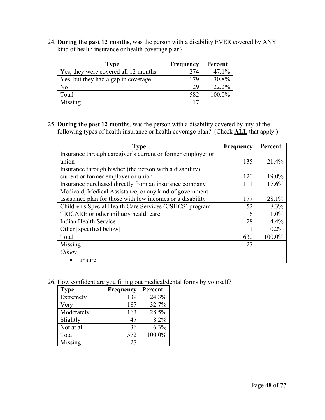24. **During the past 12 months,** was the person with a disability EVER covered by ANY kind of health insurance or health coverage plan?

| Type                                 | <b>Frequency</b> | Percent |
|--------------------------------------|------------------|---------|
| Yes, they were covered all 12 months | 274              | 47.1%   |
| Yes, but they had a gap in coverage  | 179              | 30.8%   |
| No                                   | 129              | 22.2%   |
| Total                                | 582              | 100.0%  |
| Missing                              | 17               |         |

25. **During the past 12 month**s, was the person with a disability covered by any of the following types of health insurance or health coverage plan? (Check **ALL** that apply.)

| <b>Type</b>                                                 | Frequency | Percent |
|-------------------------------------------------------------|-----------|---------|
| Insurance through caregiver's current or former employer or |           |         |
| union                                                       | 135       | 21.4%   |
| Insurance through his/her (the person with a disability)    |           |         |
| current or former employer or union                         | 120       | 19.0%   |
| Insurance purchased directly from an insurance company      | 111       | 17.6%   |
| Medicaid, Medical Assistance, or any kind of government     |           |         |
| assistance plan for those with low incomes or a disability  | 177       | 28.1%   |
| Children's Special Health Care Services (CSHCS) program     | 52        | 8.3%    |
| TRICARE or other military health care                       | 6         | 1.0%    |
| Indian Health Service                                       | 28        | 4.4%    |
| Other [specified below]                                     |           | 0.2%    |
| Total                                                       | 630       | 100.0%  |
| Missing                                                     | 27        |         |
| Other:                                                      |           |         |
| unsure                                                      |           |         |

26. How confident are you filling out medical/dental forms by yourself?

| <b>Type</b> | <b>Frequency</b> | Percent |
|-------------|------------------|---------|
| Extremely   | 139              | 24.3%   |
| Very        | 187              | 32.7%   |
| Moderately  | 163              | 28.5%   |
| Slightly    | 47               | 8.2%    |
| Not at all  | 36               | 6.3%    |
| Total       | 572              | 100.0%  |
| Missing     | 27               |         |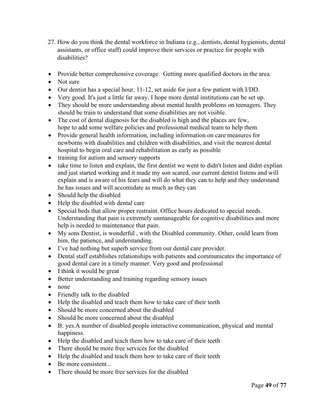- 27. How do you think the dental workforce in Indiana (e.g., dentists, dental hygienists, dental assistants, or office staff) could improve their services or practice for people with disabilities?
- Provide better comprehensive coverage. Getting more qualified doctors in the area.
- Not sure
- Our dentist has a special hour, 11-12, set aside for just a few patient with I/DD.
- Very good. It's just a little far away. I hope more dental institutions can be set up.
- They should be more understanding about mental health problems on teenagers. They should be train to understand that some disabilities are not visible.
- The cost of dental diagnosis for the disabled is high and the places are few, hope to add some welfare policies and professional medical team to help them
- Provide general health information, including information on care measures for newborns with disabilities and children with disabilities, and visit the nearest dental hospital to begin oral care and rehabilitation as early as possible
- training for autism and sensory supports
- take time to listen and explain, the first dentist we went to didn't listen and didnt explian and just started working and it made my son scared, our current dentist listens and will explain and is aware of his fears and will do what they can to help and they understand he has issues and will accomidate as much as they can
- Should help the disabled
- Help the disabled with dental care
- Special beds that allow proper restraint. Office hours dedicated to special needs. Understanding that pain is extremely unmanageable for cognitive disabilities and more help is needed to maintenance that pain.
- My sons Dentist, is wonderful , with the Disabled community. Other, could learn from him, the patience, and understanding.
- I've had nothing but superb service from our dental care provider.
- Dental staff establishes relationships with patients and communicates the importance of good dental care in a timely manner. Very good and professional
- I think it would be great
- Better understanding and training regarding sensory issues
- none
- Friendly talk to the disabled
- Help the disabled and teach them how to take care of their teeth
- Should be more concerned about the disabled
- Should be more concerned about the disabled
- B: yes.A number of disabled people interactive communication, physical and mental happiness.
- Help the disabled and teach them how to take care of their teeth
- There should be more free services for the disabled
- Help the disabled and teach them how to take care of their teeth
- Be more consistent...
- There should be more free services for the disabled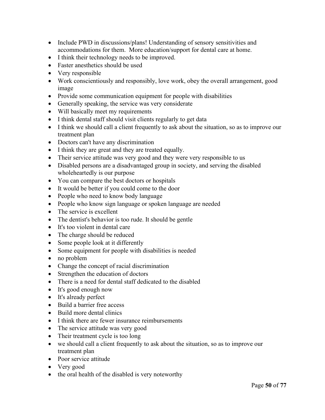- Include PWD in discussions/plans! Understanding of sensory sensitivities and accommodations for them. More education/support for dental care at home.
- I think their technology needs to be improved.
- Faster anesthetics should be used
- Very responsible
- Work conscientiously and responsibly, love work, obey the overall arrangement, good image
- Provide some communication equipment for people with disabilities
- Generally speaking, the service was very considerate
- Will basically meet my requirements
- I think dental staff should visit clients regularly to get data
- I think we should call a client frequently to ask about the situation, so as to improve our treatment plan
- Doctors can't have any discrimination
- I think they are great and they are treated equally.
- Their service attitude was very good and they were very responsible to us
- Disabled persons are a disadvantaged group in society, and serving the disabled wholeheartedly is our purpose
- You can compare the best doctors or hospitals
- It would be better if you could come to the door
- People who need to know body language
- People who know sign language or spoken language are needed
- The service is excellent
- The dentist's behavior is too rude. It should be gentle
- It's too violent in dental care
- The charge should be reduced
- Some people look at it differently
- Some equipment for people with disabilities is needed
- no problem
- Change the concept of racial discrimination
- Strengthen the education of doctors
- There is a need for dental staff dedicated to the disabled
- It's good enough now
- It's already perfect
- Build a barrier free access
- Build more dental clinics
- I think there are fewer insurance reimbursements
- The service attitude was very good
- Their treatment cycle is too long
- we should call a client frequently to ask about the situation, so as to improve our treatment plan
- Poor service attitude
- Very good
- the oral health of the disabled is very noteworthy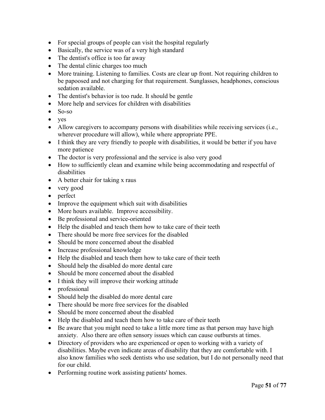- For special groups of people can visit the hospital regularly
- Basically, the service was of a very high standard
- The dentist's office is too far away
- The dental clinic charges too much
- More training. Listening to families. Costs are clear up front. Not requiring children to be papoosed and not charging for that requirement. Sunglasses, headphones, conscious sedation available.
- The dentist's behavior is too rude. It should be gentle
- More help and services for children with disabilities
- So-so
- yes
- Allow caregivers to accompany persons with disabilities while receiving services (i.e., wherever procedure will allow), while where appropriate PPE.
- I think they are very friendly to people with disabilities, it would be better if you have more patience
- The doctor is very professional and the service is also very good
- How to sufficiently clean and examine while being accommodating and respectful of disabilities
- A better chair for taking x raus
- very good
- perfect
- Improve the equipment which suit with disabilities
- More hours available. Improve accessibility.
- Be professional and service-oriented
- Help the disabled and teach them how to take care of their teeth
- There should be more free services for the disabled
- Should be more concerned about the disabled
- Increase professional knowledge
- Help the disabled and teach them how to take care of their teeth
- Should help the disabled do more dental care
- Should be more concerned about the disabled
- I think they will improve their working attitude
- professional
- Should help the disabled do more dental care
- There should be more free services for the disabled
- Should be more concerned about the disabled
- Help the disabled and teach them how to take care of their teeth
- Be aware that you might need to take a little more time as that person may have high anxiety. Also there are often sensory issues which can cause outbursts at times.
- Directory of providers who are experienced or open to working with a variety of disabilities. Maybe even indicate areas of disability that they are comfortable with. I also know families who seek dentists who use sedation, but I do not personally need that for our child.
- Performing routine work assisting patients' homes.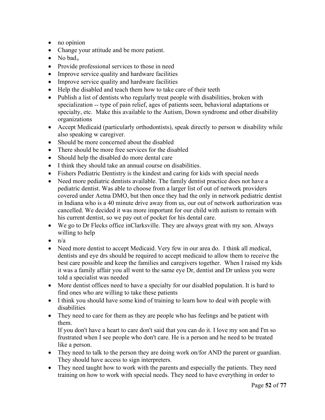- no opinion
- Change your attitude and be more patient.
- No bad<sub>o</sub>
- Provide professional services to those in need
- Improve service quality and hardware facilities
- Improve service quality and hardware facilities
- Help the disabled and teach them how to take care of their teeth
- Publish a list of dentists who regularly treat people with disabilities, broken with specialization -- type of pain relief, ages of patients seen, behavioral adaptations or specialty, etc. Make this available to the Autism, Down syndrome and other disability organizations
- Accept Medicaid (particularly orthodontists), speak directly to person w disability while also speaking w caregiver.
- Should be more concerned about the disabled
- There should be more free services for the disabled
- Should help the disabled do more dental care
- I think they should take an annual course on disabilities.
- Fishers Pediatric Dentistry is the kindest and caring for kids with special needs
- Need more pediatric dentists available. The family dentist practice does not have a pediatric dentist. Was able to choose from a larger list of out of network providers covered under Aetna DMO, but then once they had the only in network pediatric dentist in Indiana who is a 40 minute drive away from us, our out of network authorization was cancelled. We decided it was more important for our child with autism to remain with his current dentist, so we pay out of pocket for his dental care.
- We go to Dr Flecks office inClarksville. They are always great with my son. Always willing to help
- $\bullet$  n/a
- Need more dentist to accept Medicaid. Very few in our area do. I think all medical, dentists and eye drs should be required to accept medicaid to allow them to receive the best care possible and keep the families and caregivers together. When I raised my kids it was a family affair you all went to the same eye Dr, dentist and Dr unless you were told a specialist was needed
- More dentist offices need to have a specialty for our disabled population. It is hard to find ones who are willing to take these patients
- I think you should have some kind of training to learn how to deal with people with disabilities
- They need to care for them as they are people who has feelings and be patient with them.

If you don't have a heart to care don't said that you can do it. I love my son and I'm so frustrated when I see people who don't care. He is a person and he need to be treated like a person.

- They need to talk to the person they are doing work on/for AND the parent or guardian. They should have access to sign interpreters.
- They need taught how to work with the parents and especially the patients. They need training on how to work with special needs. They need to have everything in order to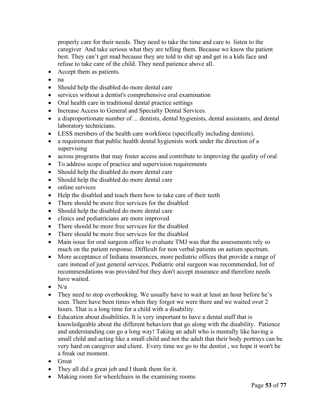properly care for their needs. They need to take the time and care to listen to the caregiver And take serious what they are telling them. Because we know the patient best. They can't get mad because they are told to shit up and get in a kids face and refuse to take care of the child. They need patience above all.

- Accept them as patients.
- na
- Should help the disabled do more dental care
- services without a dentist's comprehensive oral examination
- Oral health care in traditional dental practice settings
- Increase Access to General and Specialty Dental Services.
- a disproportionate number of ... dentists, dental hygienists, dental assistants, and dental laboratory technicians.
- LESS members of the health care workforce (specifically including dentists).
- a requirement that public health dental hygienists work under the direction of a supervising
- across programs that may foster access and contribute to improving the quality of oral
- To address scope of practice and supervision requirements
- Should help the disabled do more dental care
- Should help the disabled do more dental care
- online services
- Help the disabled and teach them how to take care of their teeth
- There should be more free services for the disabled
- Should help the disabled do more dental care
- clinics and pediatricians are more improved
- There should be more free services for the disabled
- There should be more free services for the disabled
- Main issue for oral surgeon office to evaluate TMJ was that the assessments rely so much on the patient response. Difficult for non verbal patients on autism spectrum.
- More acceptance of Indiana insurances, more pediatric offices that provide a range of care instead of just general services. Pediatric oral surgeon was recommended, list of recommendations was provided but they don't accept insurance and therefore needs have waited.
- $\bullet$  N/a
- They need to stop overbooking. We usually have to wait at least an hour before he's seen. There have been times when they forgot we were there and we waited over 2 hours. That is a long time for a child with a disability.
- Education about disabilities. It is very important to have a dental staff that is knowledgeable about the different behaviors that go along with the disability. Patience and understanding can go a long way! Taking an adult who is mentally like having a small child and acting like a small child and not the adult that their body portrays can be very hard on caregiver and client. Every time we go to the dentist , we hope it won't be a freak out moment.
- Great
- They all did a great job and I thank them for it.
- Making room for wheelchairs in the examining rooms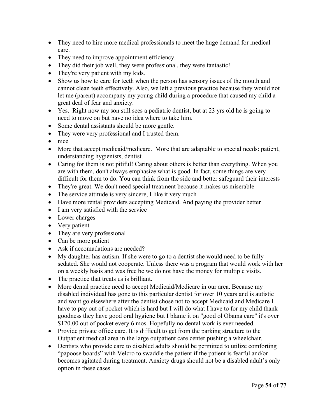- They need to hire more medical professionals to meet the huge demand for medical care.
- They need to improve appointment efficiency.
- They did their job well, they were professional, they were fantastic!
- They're very patient with my kids.
- Show us how to care for teeth when the person has sensory issues of the mouth and cannot clean teeth effectively. Also, we left a previous practice because they would not let me (parent) accompany my young child during a procedure that caused my child a great deal of fear and anxiety.
- Yes. Right now my son still sees a pediatric dentist, but at 23 yrs old he is going to need to move on but have no idea where to take him.
- Some dental assistants should be more gentle.
- They were very professional and I trusted them.
- nice
- More that accept medicaid/medicare. More that are adaptable to special needs: patient, understanding hygienists, dentist.
- Caring for them is not pitiful! Caring about others is better than everything. When you are with them, don't always emphasize what is good. In fact, some things are very difficult for them to do. You can think from the side and better safeguard their interests
- They're great. We don't need special treatment because it makes us miserable
- The service attitude is very sincere, I like it very much
- Have more rental providers accepting Medicaid. And paying the provider better
- I am very satisfied with the service
- Lower charges
- Very patient
- They are very professional
- Can be more patient
- Ask if accomadations are needed?
- My daughter has autism. If she were to go to a dentist she would need to be fully sedated. She would not cooperate. Unless there was a program that would work with her on a weekly basis and was free bc we do not have the money for multiple visits.
- The practice that treats us is brilliant.
- More dental practice need to accept Medicaid/Medicare in our area. Because my disabled individual has gone to this particular dentist for over 10 years and is autistic and wont go elsewhere after the dentist chose not to accept Medicaid and Medicare I have to pay out of pocket which is hard but I will do what I have to for my child thank goodness they have good oral hygiene but I blame it on "good ol Obama care" it's over \$120.00 out of pocket every 6 mos. Hopefully no dental work is ever needed.
- Provide private office care. It is difficult to get from the parking structure to the Outpatient medical area in the large outpatient care center pushing a wheelchair.
- Dentists who provide care to disabled adults should be permitted to utilize comforting "papoose boards" with Velcro to swaddle the patient if the patient is fearful and/or becomes agitated during treatment. Anxiety drugs should not be a disabled adult's only option in these cases.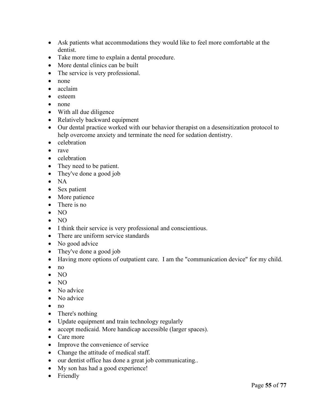- Ask patients what accommodations they would like to feel more comfortable at the dentist.
- Take more time to explain a dental procedure.
- More dental clinics can be built
- The service is very professional.
- none
- acclaim
- esteem
- none
- With all due diligence
- Relatively backward equipment
- Our dental practice worked with our behavior therapist on a desensitization protocol to help overcome anxiety and terminate the need for sedation dentistry.
- celebration
- rave
- celebration
- They need to be patient.
- They've done a good job
- NA
- Sex patient
- More patience
- There is no
- NO
- NO
- I think their service is very professional and conscientious.
- There are uniform service standards
- No good advice
- They've done a good job
- Having more options of outpatient care. I am the "communication device" for my child.
- no
- NO
- NO
- No advice
- No advice
- $\bullet$  no
- There's nothing
- Update equipment and train technology regularly
- accept medicaid. More handicap accessible (larger spaces).
- Care more
- Improve the convenience of service
- Change the attitude of medical staff.
- our dentist office has done a great job communicating..
- My son has had a good experience!
- Friendly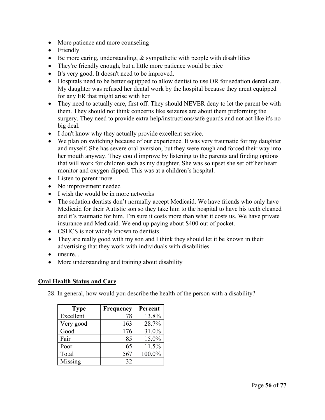- More patience and more counseling
- Friendly
- Be more caring, understanding, & sympathetic with people with disabilities
- They're friendly enough, but a little more patience would be nice
- It's very good. It doesn't need to be improved.
- Hospitals need to be better equipped to allow dentist to use OR for sedation dental care. My daughter was refused her dental work by the hospital because they arent equipped for any ER that might arise with her
- They need to actually care, first off. They should NEVER deny to let the parent be with them. They should not think concerns like seizures are about them preforming the surgery. They need to provide extra help/instructions/safe guards and not act like it's no big deal.
- I don't know why they actually provide excellent service.
- We plan on switching because of our experience. It was very traumatic for my daughter and myself. She has severe oral aversion, but they were rough and forced their way into her mouth anyway. They could improve by listening to the parents and finding options that will work for children such as my daughter. She was so upset she set off her heart monitor and oxygen dipped. This was at a children's hospital.
- Listen to parent more
- No improvement needed
- I wish the would be in more networks
- The sedation dentists don't normally accept Medicaid. We have friends who only have Medicaid for their Autistic son so they take him to the hospital to have his teeth cleaned and it's traumatic for him. I'm sure it costs more than what it costs us. We have private insurance and Medicaid. We end up paying about \$400 out of pocket.
- CSHCS is not widely known to dentists
- They are really good with my son and I think they should let it be known in their advertising that they work with individuals with disabilities
- unsure...
- More understanding and training about disability

## **Oral Health Status and Care**

28. In general, how would you describe the health of the person with a disability?

| <b>Type</b> | <b>Frequency</b> | Percent |
|-------------|------------------|---------|
| Excellent   | 78               | 13.8%   |
| Very good   | 163              | 28.7%   |
| Good        | 176              | 31.0%   |
| Fair        | 85               | 15.0%   |
| Poor        | 65               | 11.5%   |
| Total       | 567              | 100.0%  |
| Missing     | 32               |         |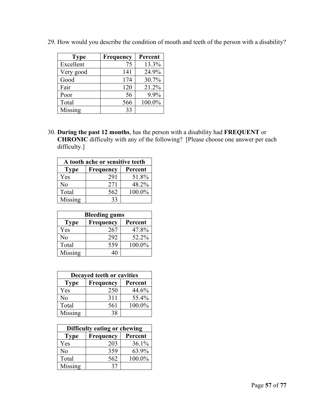| <b>Type</b> | Frequency | Percent |
|-------------|-----------|---------|
| Excellent   | 75        | 13.3%   |
| Very good   | 141       | 24.9%   |
| Good        | 174       | 30.7%   |
| Fair        | 120       | 21.2%   |
| Poor        | 56        | 9.9%    |
| Total       | 566       | 100.0%  |
| Missing     | 33        |         |

29. How would you describe the condition of mouth and teeth of the person with a disability?

30. **During the past 12 months**, has the person with a disability had **FREQUENT** or **CHRONIC** difficulty with any of the following? [Please choose one answer per each difficulty.]

| A tooth ache or sensitive teeth |           |         |
|---------------------------------|-----------|---------|
| <b>Type</b>                     | Frequency | Percent |
| Yes                             | 291       | 51.8%   |
| No                              | 271       | 48.2%   |
| Total                           | 562       | 100.0%  |
| Missing                         | 33        |         |

| <b>Bleeding gums</b> |           |         |
|----------------------|-----------|---------|
| <b>Type</b>          | Frequency | Percent |
| Yes                  | 267       | 47.8%   |
| No                   | 292       | 52.2%   |
| Total                | 559       | 100.0%  |
| Missing              | 40        |         |

| Decayed teeth or cavities |                  |         |
|---------------------------|------------------|---------|
| <b>Type</b>               | <b>Frequency</b> | Percent |
| Yes                       | 250              | 44.6%   |
| No                        | 311              | 55.4%   |
| Total                     | 561              | 100.0%  |
| Missing                   | 38               |         |

| Difficulty eating or chewing |           |         |
|------------------------------|-----------|---------|
| <b>Type</b>                  | Frequency | Percent |
| Yes                          | 203       | 36.1%   |
| No                           | 359       | 63.9%   |
| Total                        | 562       | 100.0%  |
| Missing                      | 37        |         |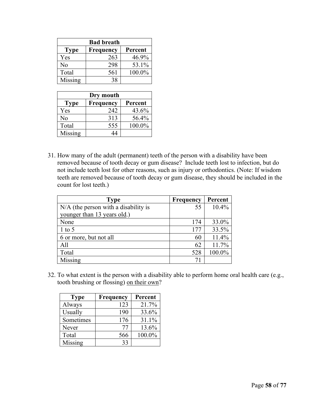| <b>Bad breath</b> |                  |         |
|-------------------|------------------|---------|
| <b>Type</b>       | <b>Frequency</b> | Percent |
| Yes               | 263              | 46.9%   |
| No                | 298              | 53.1%   |
| Total             | 561              | 100.0%  |
| Missing           | 38               |         |

| Dry mouth   |           |         |
|-------------|-----------|---------|
| <b>Type</b> | Frequency | Percent |
| Yes         | 242       | 43.6%   |
| No          | 313       | 56.4%   |
| Total       | 555       | 100.0%  |
| Missing     |           |         |

31. How many of the adult (permanent) teeth of the person with a disability have been removed because of tooth decay or gum disease? Include teeth lost to infection, but do not include teeth lost for other reasons, such as injury or orthodontics. (Note: If wisdom teeth are removed because of tooth decay or gum disease, they should be included in the count for lost teeth.)

| <b>Type</b>                          | <b>Frequency</b> | Percent |
|--------------------------------------|------------------|---------|
| N/A (the person with a disability is | 55               | 10.4%   |
| younger than 13 years old.)          |                  |         |
| None                                 | 174              | 33.0%   |
| $1$ to 5                             | 177              | 33.5%   |
| 6 or more, but not all               | 60               | 11.4%   |
| A11                                  | 62               | 11.7%   |
| Total                                | 528              | 100.0%  |
| Missing                              | 71               |         |

32. To what extent is the person with a disability able to perform home oral health care (e.g., tooth brushing or flossing) on their own?

| <b>Type</b> | Frequency | Percent |
|-------------|-----------|---------|
| Always      | 123       | 21.7%   |
| Usually     | 190       | 33.6%   |
| Sometimes   | 176       | 31.1%   |
| Never       | 77        | 13.6%   |
| Total       | 566       | 100.0%  |
| Missing     | 33        |         |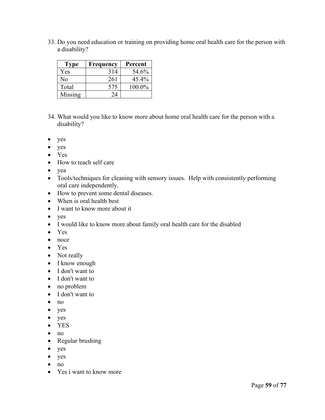33. Do you need education or training on providing home oral health care for the person with a disability?

| <b>Type</b> | Frequency | Percent   |
|-------------|-----------|-----------|
| Yes         | 314       | 54.6%     |
| No          | 261       | $45.4\%$  |
| Total       | 575       | $100.0\%$ |
| Missing     | 24        |           |

- 34. What would you like to know more about home oral health care for the person with a disability?
- yes
- yes
- Yes
- How to teach self care
- yea
- Tools/techniques for cleaning with sensory issues. Help with consistently performing oral care independently.
- How to prevent some dental diseases.
- When is oral health best
- I want to know more about it
- yes
- I would like to know more about family oral health care for the disabled
- Yes
- noce
- Yes
- Not really
- I know enough
- I don't want to
- I don't want to
- no problem
- I don't want to
- no
- yes
- yes
- YES
- no
- Regular brushing
- yes
- yes
- no
- Yes i want to know more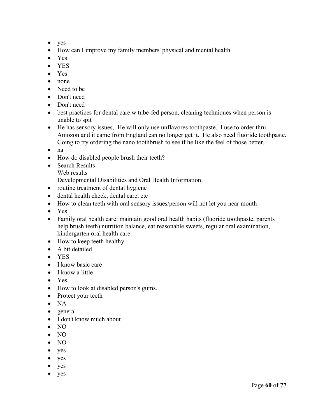- yes
- How can I improve my family members' physical and mental health
- Yes
- YES
- Yes
- none
- Need to be
- Don't need
- Don't need
- best practices for dental care w tube-fed person, cleaning techniques when person is unable to spit
- He has sensory issues, He will only use unflavores toothpaste. I use to order thru Amozon and it came from England can no longer get it. He also need fluoride toothpaste. Going to try ordering the nano toothbrush to see if he like the feel of those better.
- na
- How do disabled people brush their teeth?
- Search Results
	- Web results

Developmental Disabilities and Oral Health Information

- routine treatment of dental hygiene
- dental health check, dental care, etc
- How to clean teeth with oral sensory issues/person will not let you near mouth
- Yes
- Family oral health care: maintain good oral health habits (fluoride toothpaste, parents help brush teeth) nutrition balance, eat reasonable sweets, regular oral examination, kindergarten oral health care
- How to keep teeth healthy
- A bit detailed
- YES
- I know basic care
- I know a little
- Yes
- How to look at disabled person's gums.
- Protect your teeth
- NA
- general
- I don't know much about
- NO
- NO
- NO
- yes
- yes
- yes
- yes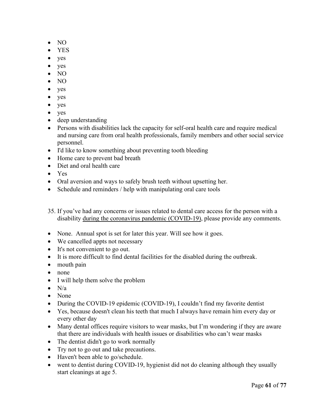- NO
- YES
- yes
- yes
- NO
- NO
- yes
- yes
- yes
- yes
- deep understanding
- Persons with disabilities lack the capacity for self-oral health care and require medical and nursing care from oral health professionals, family members and other social service personnel.
- I'd like to know something about preventing tooth bleeding
- Home care to prevent bad breath
- Diet and oral health care
- Yes
- Oral aversion and ways to safely brush teeth without upsetting her.
- Schedule and reminders / help with manipulating oral care tools
- 35. If you've had any concerns or issues related to dental care access for the person with a disability during the coronavirus pandemic (COVID-19), please provide any comments.
- None. Annual spot is set for later this year. Will see how it goes.
- We cancelled appts not necessary
- It's not convenient to go out.
- It is more difficult to find dental facilities for the disabled during the outbreak.
- mouth pain
- none
- I will help them solve the problem
- $\bullet$  N/a
- None
- During the COVID-19 epidemic (COVID-19), I couldn't find my favorite dentist
- Yes, because doesn't clean his teeth that much I always have remain him every day or every other day
- Many dental offices require visitors to wear masks, but I'm wondering if they are aware that there are individuals with health issues or disabilities who can't wear masks
- The dentist didn't go to work normally
- Try not to go out and take precautions.
- Haven't been able to go/schedule.
- went to dentist during COVID-19, hygienist did not do cleaning although they usually start cleanings at age 5.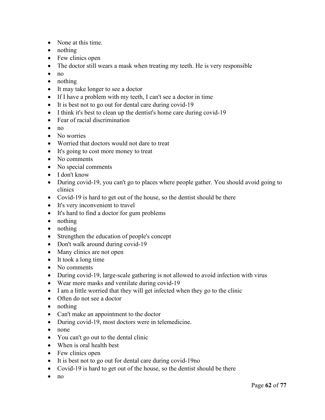- None at this time.
- nothing
- Few clinics open
- The doctor still wears a mask when treating my teeth. He is very responsible
- no
- nothing
- It may take longer to see a doctor
- If I have a problem with my teeth, I can't see a doctor in time
- It is best not to go out for dental care during covid-19
- I think it's best to clean up the dentist's home care during covid-19
- Fear of racial discrimination
- $\bullet$  no
- No worries
- Worried that doctors would not dare to treat
- It's going to cost more money to treat
- No comments
- No special comments
- I don't know
- During covid-19, you can't go to places where people gather. You should avoid going to clinics
- Covid-19 is hard to get out of the house, so the dentist should be there
- It's very inconvenient to travel
- It's hard to find a doctor for gum problems
- nothing
- nothing
- Strengthen the education of people's concept
- Don't walk around during covid-19
- Many clinics are not open
- It took a long time
- No comments
- During covid-19, large-scale gathering is not allowed to avoid infection with virus
- Wear more masks and ventilate during covid-19
- I am a little worried that they will get infected when they go to the clinic
- Often do not see a doctor
- nothing
- Can't make an appointment to the doctor
- During covid-19, most doctors were in telemedicine.
- none
- You can't go out to the dental clinic
- When is oral health best
- Few clinics open
- It is best not to go out for dental care during covid-19no
- Covid-19 is hard to get out of the house, so the dentist should be there
- no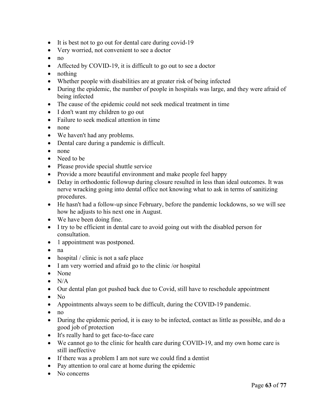- It is best not to go out for dental care during covid-19
- Very worried, not convenient to see a doctor
- no
- Affected by COVID-19, it is difficult to go out to see a doctor
- nothing
- Whether people with disabilities are at greater risk of being infected
- During the epidemic, the number of people in hospitals was large, and they were afraid of being infected
- The cause of the epidemic could not seek medical treatment in time
- I don't want my children to go out
- Failure to seek medical attention in time
- none
- We haven't had any problems.
- Dental care during a pandemic is difficult.
- none
- Need to be
- Please provide special shuttle service
- Provide a more beautiful environment and make people feel happy
- Delay in orthodontic followup during closure resulted in less than ideal outcomes. It was nerve wracking going into dental office not knowing what to ask in terms of sanitizing procedures.
- He hasn't had a follow-up since February, before the pandemic lockdowns, so we will see how he adjusts to his next one in August.
- We have been doing fine.
- I try to be efficient in dental care to avoid going out with the disabled person for consultation.
- 1 appointment was postponed.
- na
- hospital / clinic is not a safe place
- I am very worried and afraid go to the clinic /or hospital
- None
- $\bullet$  N/A
- Our dental plan got pushed back due to Covid, still have to reschedule appointment
- No
- Appointments always seem to be difficult, during the COVID-19 pandemic.
- $\bullet$  no
- During the epidemic period, it is easy to be infected, contact as little as possible, and do a good job of protection
- It's really hard to get face-to-face care
- We cannot go to the clinic for health care during COVID-19, and my own home care is still ineffective
- If there was a problem I am not sure we could find a dentist
- Pay attention to oral care at home during the epidemic
- No concerns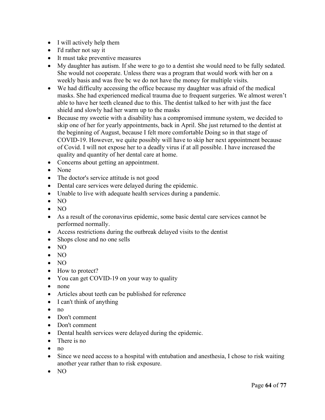- I will actively help them
- I'd rather not say it
- It must take preventive measures
- My daughter has autism. If she were to go to a dentist she would need to be fully sedated. She would not cooperate. Unless there was a program that would work with her on a weekly basis and was free bc we do not have the money for multiple visits.
- We had difficulty accessing the office because my daughter was afraid of the medical masks. She had experienced medical trauma due to frequent surgeries. We almost weren't able to have her teeth cleaned due to this. The dentist talked to her with just the face shield and slowly had her warm up to the masks
- Because my sweetie with a disability has a compromised immune system, we decided to skip one of her for yearly appointments, back in April. She just returned to the dentist at the beginning of August, because I felt more comfortable Doing so in that stage of COVID-19. However, we quite possibly will have to skip her next appointment because of Covid. I will not expose her to a deadly virus if at all possible. I have increased the quality and quantity of her dental care at home.
- Concerns about getting an appointment.
- None
- The doctor's service attitude is not good
- Dental care services were delayed during the epidemic.
- Unable to live with adequate health services during a pandemic.
- NO
- NO
- As a result of the coronavirus epidemic, some basic dental care services cannot be performed normally.
- Access restrictions during the outbreak delayed visits to the dentist
- Shops close and no one sells
- NO
- NO
- NO
- How to protect?
- You can get COVID-19 on your way to quality
- none
- Articles about teeth can be published for reference
- I can't think of anything
- no
- Don't comment
- Don't comment
- Dental health services were delayed during the epidemic.
- There is no
- $\bullet$  no
- Since we need access to a hospital with entubation and anesthesia, I chose to risk waiting another year rather than to risk exposure.
- NO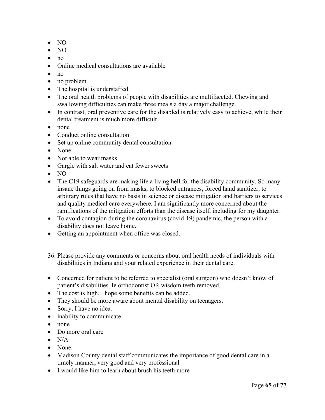- NO
- NO
- no
- Online medical consultations are available
- $\bullet$  no
- no problem
- The hospital is understaffed
- The oral health problems of people with disabilities are multifaceted. Chewing and swallowing difficulties can make three meals a day a major challenge.
- In contrast, oral preventive care for the disabled is relatively easy to achieve, while their dental treatment is much more difficult.
- none
- Conduct online consultation
- Set up online community dental consultation
- None
- Not able to wear masks
- Gargle with salt water and eat fewer sweets
- NO
- The C19 safeguards are making life a living hell for the disability community. So many insane things going on from masks, to blocked entrances, forced hand sanitizer, to arbitrary rules that have no basis in science or disease mitigation and barriers to services and quality medical care everywhere. I am significantly more concerned about the ramifications of the mitigation efforts than the disease itself, including for my daughter.
- To avoid contagion during the coronavirus (covid-19) pandemic, the person with a disability does not leave home.
- Getting an appointment when office was closed.
- 36. Please provide any comments or concerns about oral health needs of individuals with disabilities in Indiana and your related experience in their dental care.
- Concerned for patient to be referred to specialist (oral surgeon) who doesn't know of patient's disabilities. Ie orthodontist OR wisdom teeth removed.
- The cost is high. I hope some benefits can be added.
- They should be more aware about mental disability on teenagers.
- Sorry, I have no idea.
- inability to communicate
- none
- Do more oral care
- $\bullet$  N/A
- None.
- Madison County dental staff communicates the importance of good dental care in a timely manner, very good and very professional
- I would like him to learn about brush his teeth more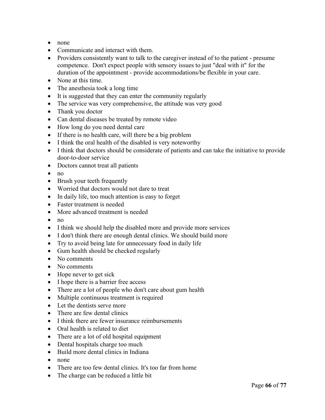- none
- Communicate and interact with them.
- Providers consistently want to talk to the caregiver instead of to the patient presume competence. Don't expect people with sensory issues to just "deal with it" for the duration of the appointment - provide accommodations/be flexible in your care.
- None at this time.
- The anesthesia took a long time
- It is suggested that they can enter the community regularly
- The service was very comprehensive, the attitude was very good
- Thank you doctor
- Can dental diseases be treated by remote video
- How long do you need dental care
- If there is no health care, will there be a big problem
- I think the oral health of the disabled is very noteworthy
- I think that doctors should be considerate of patients and can take the initiative to provide door-to-door service
- Doctors cannot treat all patients
- no
- Brush your teeth frequently
- Worried that doctors would not dare to treat
- In daily life, too much attention is easy to forget
- Faster treatment is needed
- More advanced treatment is needed
- $\bullet$  no
- I think we should help the disabled more and provide more services
- I don't think there are enough dental clinics. We should build more
- Try to avoid being late for unnecessary food in daily life
- Gum health should be checked regularly
- No comments
- No comments
- Hope never to get sick
- I hope there is a barrier free access
- There are a lot of people who don't care about gum health
- Multiple continuous treatment is required
- Let the dentists serve more
- There are few dental clinics
- I think there are fewer insurance reimbursements
- Oral health is related to diet
- There are a lot of old hospital equipment
- Dental hospitals charge too much
- Build more dental clinics in Indiana
- none
- There are too few dental clinics. It's too far from home
- The charge can be reduced a little bit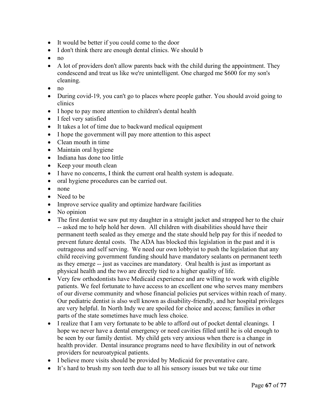- It would be better if you could come to the door
- I don't think there are enough dental clinics. We should b
- no
- A lot of providers don't allow parents back with the child during the appointment. They condescend and treat us like we're unintelligent. One charged me \$600 for my son's cleaning.
- no
- During covid-19, you can't go to places where people gather. You should avoid going to clinics
- I hope to pay more attention to children's dental health
- I feel very satisfied
- It takes a lot of time due to backward medical equipment
- I hope the government will pay more attention to this aspect
- Clean mouth in time
- Maintain oral hygiene
- Indiana has done too little
- Keep your mouth clean
- I have no concerns, I think the current oral health system is adequate.
- oral hygiene procedures can be carried out.
- none
- Need to be
- Improve service quality and optimize hardware facilities
- No opinion
- The first dentist we saw put my daughter in a straight jacket and strapped her to the chair -- asked me to help hold her down. All children with disabilities should have their permanent teeth sealed as they emerge and the state should help pay for this if needed to prevent future dental costs. The ADA has blocked this legislation in the past and it is outrageous and self serving. We need our own lobbyist to push the legislation that any child receiving government funding should have mandatory sealants on permanent teeth as they emerge -- just as vaccines are mandatory. Oral health is just as important as physical health and the two are directly tied to a higher quality of life.
- Very few orthodontists have Medicaid experience and are willing to work with eligible patients. We feel fortunate to have access to an excellent one who serves many members of our diverse community and whose financial policies put services within reach of many. Our pediatric dentist is also well known as disability-friendly, and her hospital privileges are very helpful. In North Indy we are spoiled for choice and access; families in other parts of the state sometimes have much less choice.
- I realize that I am very fortunate to be able to afford out of pocket dental cleanings. I hope we never have a dental emergency or need cavities filled until he is old enough to be seen by our family dentist. My child gets very anxious when there is a change in health provider. Dental insurance programs need to have flexibility in out of network providers for neuroatypical patients.
- I believe more visits should be provided by Medicaid for preventative care.
- It's hard to brush my son teeth due to all his sensory issues but we take our time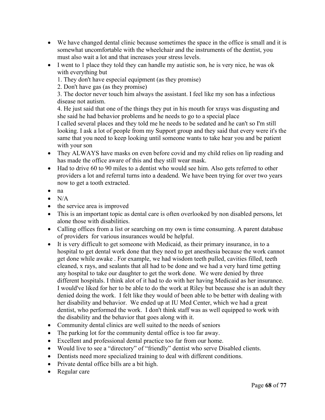- We have changed dental clinic because sometimes the space in the office is small and it is somewhat uncomfortable with the wheelchair and the instruments of the dentist, you must also wait a lot and that increases your stress levels.
- I went to 1 place they told they can handle my autistic son, he is very nice, he was ok with everything but
	- 1. They don't have especial equipment (as they promise)

2. Don't have gas (as they promise)

3. The doctor never touch him always the assistant. I feel like my son has a infectious disease not autism.

4. He just said that one of the things they put in his mouth for xrays was disgusting and she said he had behavior problems and he needs to go to a special place

I called several places and they told me he needs to be sedated and he can't so I'm still looking. I ask a lot of people from my Support group and they said that every were it's the same that you need to keep looking until someone wants to take hear you and be patient with your son

- They ALWAYS have masks on even before covid and my child relies on lip reading and has made the office aware of this and they still wear mask.
- Had to drive 60 to 90 miles to a dentist who would see him. Also gets referred to other providers a lot and referral turns into a deadend. We have been trying for over two years now to get a tooth extracted.
- na
- $\bullet$  N/A
- the service area is improved
- This is an important topic as dental care is often overlooked by non disabled persons, let alone those with disabilities.
- Calling offices from a list or searching on my own is time consuming. A parent database of providers for various insurances would be helpful.
- It is very difficult to get someone with Medicaid, as their primary insurance, in to a hospital to get dental work done that they need to get anesthesia because the work cannot get done while awake . For example, we had wisdom teeth pulled, cavities filled, teeth cleaned, x rays, and sealants that all had to be done and we had a very hard time getting any hospital to take our daughter to get the work done. We were denied by three different hospitals. I think alot of it had to do with her having Medicaid as her insurance. I would've liked for her to be able to do the work at Riley but because she is an adult they denied doing the work. I felt like they would of been able to be better with dealing with her disability and behavior. We ended up at IU Med Center, which we had a great dentist, who performed the work. I don't think staff was as well equipped to work with the disability and the behavior that goes along with it.
- Community dental clinics are well suited to the needs of seniors
- The parking lot for the community dental office is too far away.
- Excellent and professional dental practice too far from our home.
- Would live to see a "directory" of "friendly" dentist who serve Disabled clients.
- Dentists need more specialized training to deal with different conditions.
- Private dental office bills are a bit high.
- Regular care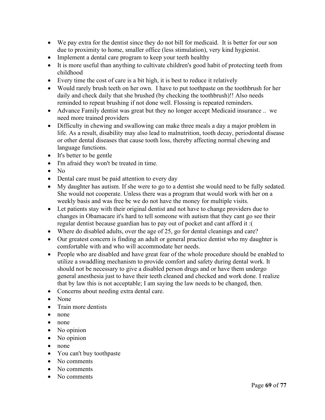- We pay extra for the dentist since they do not bill for medicaid. It is better for our son due to proximity to home, smaller office (less stimulation), very kind hygienist.
- Implement a dental care program to keep your teeth healthy
- It is more useful than anything to cultivate children's good habit of protecting teeth from childhood
- Every time the cost of care is a bit high, it is best to reduce it relatively
- Would rarely brush teeth on her own. I have to put toothpaste on the toothbrush for her daily and check daily that she brushed (by checking the toothbrush)!! Also needs reminded to repeat brushing if not done well. Flossing is repeated reminders.
- Advance Family dentist was great but they no longer accept Medicaid insurance .. we need more trained providers
- Difficulty in chewing and swallowing can make three meals a day a major problem in life. As a result, disability may also lead to malnutrition, tooth decay, periodontal disease or other dental diseases that cause tooth loss, thereby affecting normal chewing and language functions.
- It's better to be gentle
- I'm afraid they won't be treated in time.
- No
- Dental care must be paid attention to every day
- My daughter has autism. If she were to go to a dentist she would need to be fully sedated. She would not cooperate. Unless there was a program that would work with her on a weekly basis and was free bc we do not have the money for multiple visits.
- Let patients stay with their original dentist and not have to change providers due to changes in Obamacare it's hard to tell someone with autism that they cant go see their regular dentist because guardian has to pay out of pocket and cant afford it :(
- Where do disabled adults, over the age of 25, go for dental cleanings and care?
- Our greatest concern is finding an adult or general practice dentist who my daughter is comfortable with and who will accommodate her needs.
- People who are disabled and have great fear of the whole procedure should be enabled to utilize a swaddling mechanism to provide comfort and safety during dental work. It should not be necessary to give a disabled person drugs and or have them undergo general anesthesia just to have their teeth cleaned and checked and work done. I realize that by law this is not acceptable; I am saying the law needs to be changed, then.
- Concerns about needing extra dental care.
- None
- Train more dentists
- none
- none
- No opinion
- No opinion
- none
- You can't buy toothpaste
- No comments
- No comments
- No comments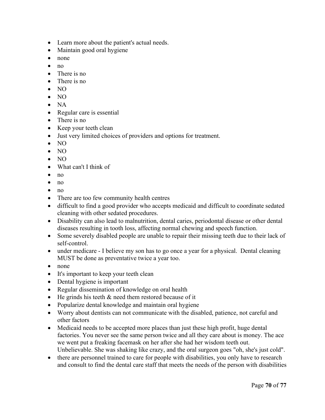- Learn more about the patient's actual needs.
- Maintain good oral hygiene
- none
- no
- There is no
- There is no
- NO
- NO
- NA
- Regular care is essential
- There is no
- Keep your teeth clean
- Just very limited choices of providers and options for treatment.
- NO
- NO
- NO
- What can't I think of
- $\bullet$  no
- $\bullet$  no
- no
- There are too few community health centres
- difficult to find a good provider who accepts medicaid and difficult to coordinate sedated cleaning with other sedated procedures.
- Disability can also lead to malnutrition, dental caries, periodontal disease or other dental diseases resulting in tooth loss, affecting normal chewing and speech function.
- Some severely disabled people are unable to repair their missing teeth due to their lack of self-control.
- under medicare I believe my son has to go once a year for a physical. Dental cleaning MUST be done as preventative twice a year too.
- none
- It's important to keep your teeth clean
- Dental hygiene is important
- Regular dissemination of knowledge on oral health
- He grinds his teeth & need them restored because of it
- Popularize dental knowledge and maintain oral hygiene
- Worry about dentists can not communicate with the disabled, patience, not careful and other factors
- Medicaid needs to be accepted more places than just these high profit, huge dental factories. You never see the same person twice and all they care about is money. The ace we went put a freaking facemask on her after she had her wisdom teeth out. Unbelievable. She was shaking like crazy, and the oral surgeon goes "oh, she's just cold".
- there are personnel trained to care for people with disabilities, you only have to research and consult to find the dental care staff that meets the needs of the person with disabilities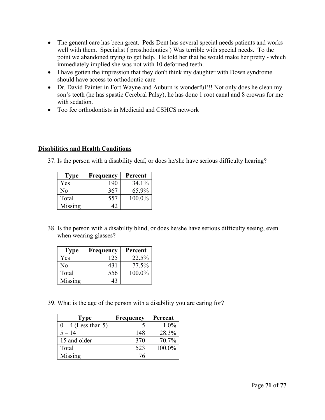- The general care has been great. Peds Dent has several special needs patients and works well with them. Specialist ( prosthodontics ) Was terrible with special needs. To the point we abandoned trying to get help. He told her that he would make her pretty - which immediately implied she was not with 10 deformed teeth.
- I have gotten the impression that they don't think my daughter with Down syndrome should have access to orthodontic care
- Dr. David Painter in Fort Wayne and Auburn is wonderful!!! Not only does he clean my son's teeth (he has spastic Cerebral Palsy), he has done 1 root canal and 8 crowns for me with sedation.
- Too fee orthodontists in Medicaid and CSHCS network

## **Disabilities and Health Conditions**

37. Is the person with a disability deaf, or does he/she have serious difficulty hearing?

| Type    | Frequency | Percent   |
|---------|-----------|-----------|
| Yes     | 190       | 34.1%     |
| Nο      | 367       | 65.9%     |
| Total   | 557       | $100.0\%$ |
| Missing |           |           |

38. Is the person with a disability blind, or does he/she have serious difficulty seeing, even when wearing glasses?

| Type    | Frequency | Percent |
|---------|-----------|---------|
| Yes     | 125       | 22.5%   |
| Nο      | 431       | 77.5%   |
| Total   | 556       | 100.0%  |
| Missing | 43        |         |

39. What is the age of the person with a disability you are caring for?

| Type                | <b>Frequency</b> | Percent |
|---------------------|------------------|---------|
| $0-4$ (Less than 5) |                  | $1.0\%$ |
| $5 - 14$            | 148              | 28.3%   |
| 15 and older        | 370              | 70.7%   |
| Total               | 523              | 100.0%  |
| Missing             | 76               |         |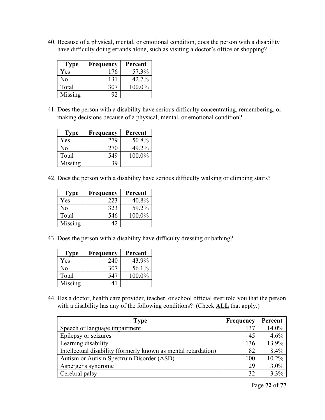40. Because of a physical, mental, or emotional condition, does the person with a disability have difficulty doing errands alone, such as visiting a doctor's office or shopping?

| Type    | Frequency | Percent |
|---------|-----------|---------|
| Yes     | 176       | 57.3%   |
| Nο      | 131       | 42.7%   |
| Total   | 307       | 100.0%  |
| Missing | 92        |         |

41. Does the person with a disability have serious difficulty concentrating, remembering, or making decisions because of a physical, mental, or emotional condition?

| <b>Type</b> | Frequency | Percent |
|-------------|-----------|---------|
| Yes         | 279       | 50.8%   |
| Nο          | 270       | 49.2%   |
| Total       | 549       | 100.0%  |
| Missing     | 39        |         |

42. Does the person with a disability have serious difficulty walking or climbing stairs?

| <b>Type</b> | <b>Frequency</b> | Percent |
|-------------|------------------|---------|
| Yes         | 223              | 40.8%   |
| Nο          | 323              | 59.2%   |
| Total       | 546              | 100.0%  |
| Missing     |                  |         |

43. Does the person with a disability have difficulty dressing or bathing?

| <b>Type</b> | Frequency | Percent |
|-------------|-----------|---------|
| Yes         | 240       | 43.9%   |
| Nο          | 307       | 56.1%   |
| Total       | 547       | 100.0%  |
| Missing     | 41        |         |

44. Has a doctor, health care provider, teacher, or school official ever told you that the person with a disability has any of the following conditions? (Check **ALL** that apply.)

| Type                                                           | Frequency | Percent |
|----------------------------------------------------------------|-----------|---------|
| Speech or language impairment                                  | 137       | 14.0%   |
| Epilepsy or seizures                                           | 45        | 4.6%    |
| Learning disability                                            | 136       | 13.9%   |
| Intellectual disability (formerly known as mental retardation) | 82        | 8.4%    |
| Autism or Autism Spectrum Disorder (ASD)                       | 100       | 10.2%   |
| Asperger's syndrome                                            | 29        | 3.0%    |
| Cerebral palsy                                                 | 32        | 3.3%    |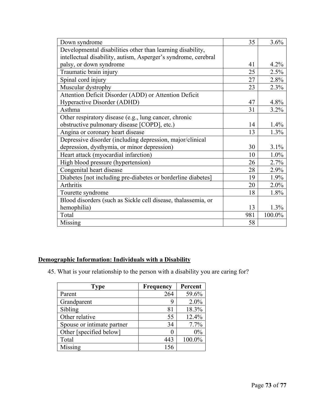| Down syndrome                                                  | 35  | 3.6%    |
|----------------------------------------------------------------|-----|---------|
| Developmental disabilities other than learning disability,     |     |         |
| intellectual disability, autism, Asperger's syndrome, cerebral |     |         |
| palsy, or down syndrome                                        | 41  | 4.2%    |
| Traumatic brain injury                                         | 25  | 2.5%    |
| Spinal cord injury                                             | 27  | 2.8%    |
| Muscular dystrophy                                             | 23  | 2.3%    |
| Attention Deficit Disorder (ADD) or Attention Deficit          |     |         |
| Hyperactive Disorder (ADHD)                                    | 47  | 4.8%    |
| Asthma                                                         | 31  | 3.2%    |
| Other respiratory disease (e.g., lung cancer, chronic          |     |         |
| obstructive pulmonary disease [COPD], etc.)                    | 14  | $1.4\%$ |
| Angina or coronary heart disease                               | 13  | 1.3%    |
| Depressive disorder (including depression, major/clinical      |     |         |
| depression, dysthymia, or minor depression)                    | 30  | 3.1%    |
| Heart attack (myocardial infarction)                           | 10  | $1.0\%$ |
| High blood pressure (hypertension)                             | 26  | 2.7%    |
| Congenital heart disease                                       | 28  | $2.9\%$ |
| Diabetes [not including pre-diabetes or borderline diabetes]   | 19  | 1.9%    |
| <b>Arthritis</b>                                               | 20  | $2.0\%$ |
| Tourette syndrome                                              | 18  | 1.8%    |
| Blood disorders (such as Sickle cell disease, thalassemia, or  |     |         |
| hemophilia)                                                    | 13  | $1.3\%$ |
| Total                                                          | 981 | 100.0%  |
| Missing                                                        | 58  |         |

## **Demographic Information: Individuals with a Disability**

45. What is your relationship to the person with a disability you are caring for?

| <b>Type</b>                | Frequency | Percent |
|----------------------------|-----------|---------|
| Parent                     | 264       | 59.6%   |
| Grandparent                | 9         | 2.0%    |
| Sibling                    | 81        | 18.3%   |
| Other relative             | 55        | 12.4%   |
| Spouse or intimate partner | 34        | 7.7%    |
| Other [specified below]    | 0         | 0%      |
| Total                      | 443       | 100.0%  |
| Missing                    | 156       |         |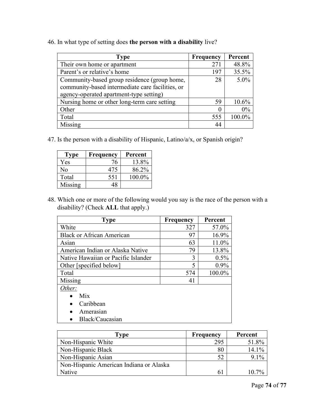46. In what type of setting does **the person with a disability** live?

| <b>Type</b>                                      | Frequency | Percent |
|--------------------------------------------------|-----------|---------|
| Their own home or apartment                      | 271       | 48.8%   |
| Parent's or relative's home                      | 197       | 35.5%   |
| Community-based group residence (group home,     | 28        | $5.0\%$ |
| community-based intermediate care facilities, or |           |         |
| agency-operated apartment-type setting)          |           |         |
| Nursing home or other long-term care setting     | 59        | 10.6%   |
| Other                                            | 0         | $0\%$   |
| Total                                            | 555       | 100.0%  |
| Missing                                          | 44        |         |

47. Is the person with a disability of Hispanic, Latino/a/x, or Spanish origin?

| Type           | Frequency | Percent |
|----------------|-----------|---------|
| Yes            | 76        | 13.8%   |
| N <sub>o</sub> | 475       | 86.2%   |
| Total          | 551       | 100.0%  |
| Missing        | 48        |         |

48. Which one or more of the following would you say is the race of the person with a disability? (Check **ALL** that apply.)

| <b>Type</b>                         | <b>Frequency</b> | Percent |
|-------------------------------------|------------------|---------|
| White                               | 327              | 57.0%   |
| <b>Black or African American</b>    | 97               | 16.9%   |
| Asian                               | 63               | 11.0%   |
| American Indian or Alaska Native    | 79               | 13.8%   |
| Native Hawaiian or Pacific Islander | 3                | 0.5%    |
| Other [specified below]             | 5                | 0.9%    |
| Total                               | 574              | 100.0%  |
| Missing                             | 41               |         |
| Other:                              |                  |         |
| Mix                                 |                  |         |
| Caribbean                           |                  |         |
| Amerasian                           |                  |         |
| Black/Caucasian                     |                  |         |

| Type                                    | <b>Frequency</b> | Percent  |
|-----------------------------------------|------------------|----------|
| Non-Hispanic White                      | 295              | 51.8%    |
| Non-Hispanic Black                      | 80               | 14.1%    |
| Non-Hispanic Asian                      | 52               | 9.1%     |
| Non-Hispanic American Indiana or Alaska |                  |          |
| Native                                  |                  | $10.7\%$ |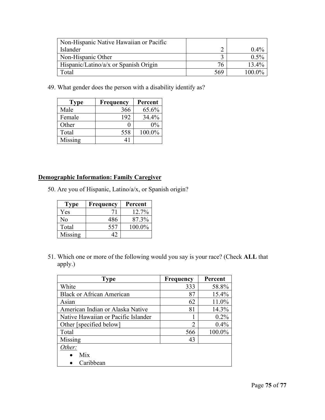| Non-Hispanic Native Hawaiian or Pacific |     |         |
|-----------------------------------------|-----|---------|
| Islander                                |     | $0.4\%$ |
| Non-Hispanic Other                      |     | $0.5\%$ |
| Hispanic/Latino/a/x or Spanish Origin   |     | 13.4%   |
| Total                                   | 569 | 100 0%  |

49. What gender does the person with a disability identify as?

| <b>Type</b> | Frequency | Percent |
|-------------|-----------|---------|
| Male        | 366       | 65.6%   |
| Female      | 192       | 34.4%   |
| Other       |           | $0\%$   |
| Total       | 558       | 100.0%  |
| Missing     | 41        |         |

## **Demographic Information: Family Caregiver**

50. Are you of Hispanic, Latino/a/x, or Spanish origin?

| Type    | Frequency | Percent |
|---------|-----------|---------|
| Yes     |           | 12.7%   |
| Nο      | 486       | 87.3%   |
| Total   | 557       | 100.0%  |
| Missing |           |         |

51. Which one or more of the following would you say is your race? (Check **ALL** that apply.)

| <b>Type</b>                         | <b>Frequency</b> | Percent |
|-------------------------------------|------------------|---------|
| White                               | 333              | 58.8%   |
| <b>Black or African American</b>    | 87               | 15.4%   |
| Asian                               | 62               | 11.0%   |
| American Indian or Alaska Native    | 81               | 14.3%   |
| Native Hawaiian or Pacific Islander |                  | 0.2%    |
| Other [specified below]             | $\overline{2}$   | 0.4%    |
| Total                               | 566              | 100.0%  |
| Missing                             | 43               |         |
| Other:                              |                  |         |
| Mix                                 |                  |         |
| Caribbean                           |                  |         |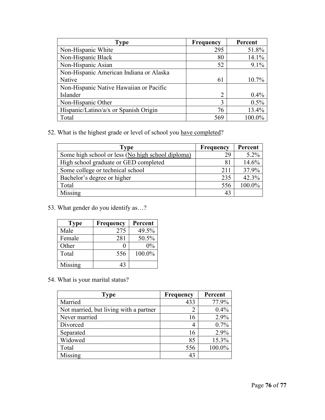| <b>Type</b>                             | <b>Frequency</b> | Percent |
|-----------------------------------------|------------------|---------|
| Non-Hispanic White                      | 295              | 51.8%   |
| Non-Hispanic Black                      | 80               | 14.1%   |
| Non-Hispanic Asian                      | 52               | 9.1%    |
| Non-Hispanic American Indiana or Alaska |                  |         |
| Native                                  | 61               | 10.7%   |
| Non-Hispanic Native Hawaiian or Pacific |                  |         |
| Islander                                | $\overline{2}$   | 0.4%    |
| Non-Hispanic Other                      | 3                | 0.5%    |
| Hispanic/Latino/a/x or Spanish Origin   | 76               | 13.4%   |
| Total                                   | 569              | 100.0%  |

52. What is the highest grade or level of school you have completed?

| Type                                              | <b>Frequency</b> | Percent |
|---------------------------------------------------|------------------|---------|
| Some high school or less (No high school diploma) | 29               | 5.2%    |
| High school graduate or GED completed             | 81               | 14.6%   |
| Some college or technical school                  | 211              | 37.9%   |
| Bachelor's degree or higher                       | 235              | 42.3%   |
| Total                                             | 556              | 100.0%  |
| Missing                                           | 43               |         |

53. What gender do you identify as…?

| <b>Type</b> | Frequency | Percent |
|-------------|-----------|---------|
| Male        | 275       | 49.5%   |
| Female      | 281       | 50.5%   |
| Other       |           | $0\%$   |
| Total       | 556       | 100.0%  |
| Missing     |           |         |

54. What is your marital status?

| <b>Type</b>                            | <b>Frequency</b> | Percent |
|----------------------------------------|------------------|---------|
| Married                                | 433              | 77.9%   |
| Not married, but living with a partner | 2                | 0.4%    |
| Never married                          | 16               | 2.9%    |
| Divorced                               | 4                | 0.7%    |
| Separated                              | 16               | 2.9%    |
| Widowed                                | 85               | 15.3%   |
| Total                                  | 556              | 100.0%  |
| Missing                                | 43               |         |